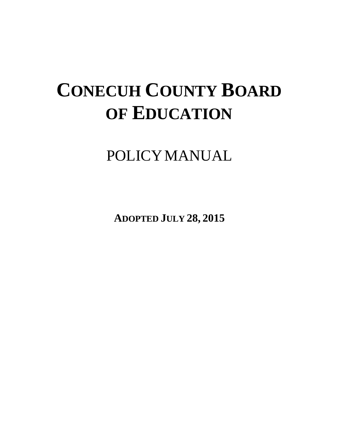# **CONECUH COUNTY BOARD OF EDUCATION**

POLICYMANUAL

**ADOPTED JULY 28, 2015**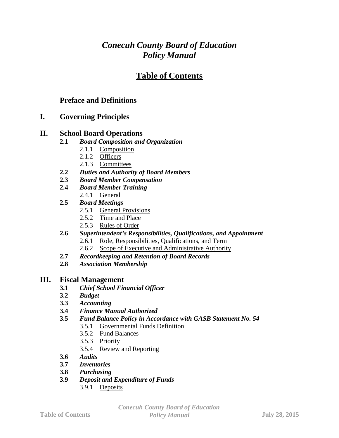# *Conecuh County Board of Education Policy Manual*

# **Table of Contents**

# **Preface and Definitions**

# **I. Governing Principles**

# **II. School Board Operations**

- **2.1** *Board Composition and Organization*
	- 2.1.1 Composition
	- 2.1.2 Officers
	- 2.1.3 Committees
- **2.2** *Duties and Authority of Board Members*
- **2.3** *Board Member Compensation*
- **2.4** *Board Member Training*
	- 2.4.1 General
- **2.5** *Board Meetings*
	- 2.5.1 General Provisions
	- 2.5.2 Time and Place
	- 2.5.3 Rules of Order
- **2.6** *Superintendent's Responsibilities, Qualifications, and Appointment*
	- 2.6.1 Role, Responsibilities, Qualifications, and Term
	- 2.6.2 Scope of Executive and Administrative Authority
- **2.7** *Recordkeeping and Retention of Board Records*
- **2.8** *Association Membership*

# **III. Fiscal Management**

- **3.1** *Chief School Financial Officer*
- **3.2** *Budget*
- **3.3** *Accounting*
- **3.4** *Finance Manual Authorized*
- **3.5** *Fund Balance Policy in Accordance with GASB Statement No. 54*
	- 3.5.1 Governmental Funds Definition
	- 3.5.2 Fund Balances
	- 3.5.3 Priority
	- 3.5.4 Review and Reporting
- **3.6** *Audits*
- **3.7** *Inventories*
- **3.8** *Purchasing*
- **3.9** *Deposit and Expenditure of Funds*
	- 3.9.1 Deposits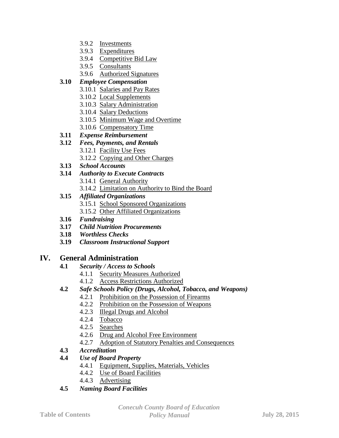- 3.9.2 Investments
- 3.9.3 Expenditures
- 3.9.4 Competitive Bid Law
- 3.9.5 Consultants
- 3.9.6 Authorized Signatures

# **3.10** *Employee Compensation*

- 3.10.1 Salaries and Pay Rates
- 3.10.2 Local Supplements
- 3.10.3 Salary Administration
- 3.10.4 Salary Deductions
- 3.10.5 Minimum Wage and Overtime
- 3.10.6 Compensatory Time
- **3.11** *Expense Reimbursement*
- **3.12** *Fees, Payments, and Rentals*
	- 3.12.1 Facility Use Fees
	- 3.12.2 Copying and Other Charges
- **3.13** *School Accounts*
- **3.14** *Authority to Execute Contracts*
	- 3.14.1 General Authority
	- 3.14.2 Limitation on Authority to Bind the Board

# **3.15** *Affiliated Organizations*

- 3.15.1 School Sponsored Organizations
- 3.15.2 Other Affiliated Organizations
- **3.16** *Fundraising*
- **3.17** *Child Nutrition Procurements*
- **3.18** *Worthless Checks*
- **3.19** *Classroom Instructional Support*

# **IV. General Administration**

- **4.1** *Security / Access to Schools*
	- 4.1.1 Security Measures Authorized
		- 4.1.2 Access Restrictions Authorized
- **4.2** *Safe Schools Policy (Drugs, Alcohol, Tobacco, and Weapons)*
	- 4.2.1 Prohibition on the Possession of Firearms
	- 4.2.2 Prohibition on the Possession of Weapons
	- 4.2.3 Illegal Drugs and Alcohol
	- 4.2.4 Tobacco
	- 4.2.5 Searches
	- 4.2.6 Drug and Alcohol Free Environment
	- 4.2.7 Adoption of Statutory Penalties and Consequences
- **4.3** *Accreditation*

# **4.4** *Use of Board Property*

- 4.4.1 Equipment, Supplies, Materials, Vehicles
- 4.4.2 Use of Board Facilities
- 4.4.3 Advertising
- **4.5** *Naming Board Facilities*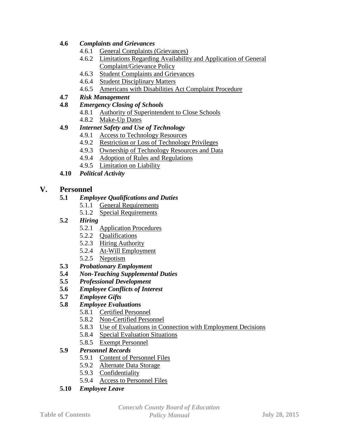# **4.6** *Complaints and Grievances*

- 4.6.1 General Complaints (Grievances)
- 4.6.2 Limitations Regarding Availability and Application of General Complaint/Grievance Policy
- 4.6.3 Student Complaints and Grievances
- 4.6.4 Student Disciplinary Matters
- 4.6.5 Americans with Disabilities Act Complaint Procedure
- **4.7** *Risk Management*
- **4.8** *Emergency Closing of Schools*
	- 4.8.1 Authority of Superintendent to Close Schools
	- 4.8.2 Make-Up Dates

# **4.9** *Internet Safety and Use of Technology*

- 4.9.1 Access to Technology Resources
- 4.9.2 Restriction or Loss of Technology Privileges
- 4.9.3 Ownership of Technology Resources and Data
- 4.9.4 Adoption of Rules and Regulations
- 4.9.5 Limitation on Liability
- **4.10** *Political Activity*

# **V. Personnel**

- **5.1** *Employee Qualifications and Duties*
	- 5.1.1 General Requirements
	- 5.1.2 Special Requirements
- **5.2** *Hiring*
	- 5.2.1 Application Procedures
	- 5.2.2 Qualifications
	- 5.2.3 Hiring Authority
	- 5.2.4 At-Will Employment
	- 5.2.5 Nepotism
- **5.3** *Probationary Employment*
- **5.4** *Non-Teaching Supplemental Duties*
- **5.5** *Professional Development*
- **5.6** *Employee Conflicts of Interest*
- **5.7** *Employee Gifts*
- **5.8** *Employee Evaluation***s**
	- 5.8.1 Certified Personnel
	- 5.8.2 Non-Certified Personnel
	- 5.8.3 Use of Evaluations in Connection with Employment Decisions
	- 5.8.4 Special Evaluation Situations
	- 5.8.5 Exempt Personnel

# **5.9** *Personnel Records*

- 5.9.1 Content of Personnel Files
- 5.9.2 Alternate Data Storage
- 5.9.3 Confidentiality
- 5.9.4 Access to Personnel Files
- **5.10** *Employee Leave*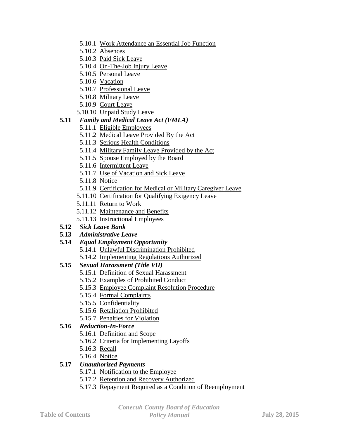- 5.10.1 Work Attendance an Essential Job Function
- 5.10.2 Absences
- 5.10.3 Paid Sick Leave
- 5.10.4 On-The-Job Injury Leave
- 5.10.5 Personal Leave
- 5.10.6 Vacation
- 5.10.7 Professional Leave
- 5.10.8 Military Leave
- 5.10.9 Court Leave
- 5.10.10 Unpaid Study Leave

# **5.11** *Family and Medical Leave Act (FMLA)*

- 5.11.1 Eligible Employees
- 5.11.2 Medical Leave Provided By the Act
- 5.11.3 Serious Health Conditions
- 5.11.4 Military Family Leave Provided by the Act
- 5.11.5 Spouse Employed by the Board
- 5.11.6 Intermittent Leave
- 5.11.7 Use of Vacation and Sick Leave
- 5.11.8 Notice
- 5.11.9 Certification for Medical or Military Caregiver Leave
- 5.11.10 Certification for Qualifying Exigency Leave
- 5.11.11 Return to Work
- 5.11.12 Maintenance and Benefits
- 5.11.13 Instructional Employees
- **5.12** *Sick Leave Bank*
- **5.13** *Administrative Leave*

# **5.14** *Equal Employment Opportunity*

- 5.14.1 Unlawful Discrimination Prohibited
- 5.14.2 Implementing Regulations Authorized

# **5.15** *Sexual Harassment (Title VII)*

- 5.15.1 Definition of Sexual Harassment
- 5.15.2 Examples of Prohibited Conduct
- 5.15.3 Employee Complaint Resolution Procedure
- 5.15.4 Formal Complaints
- 5.15.5 Confidentiality
- 5.15.6 Retaliation Prohibited
- 5.15.7 Penalties for Violation

# **5.16** *Reduction-In-Force*

- 5.16.1 Definition and Scope
- 5.16.2 Criteria for Implementing Layoffs
- 5.16.3 Recall
- 5.16.4 Notice

# **5.17** *Unauthorized Payments*

- 5.17.1 Notification to the Employee
- 5.17.2 Retention and Recovery Authorized
- 5.17.3 Repayment Required as a Condition of Reemployment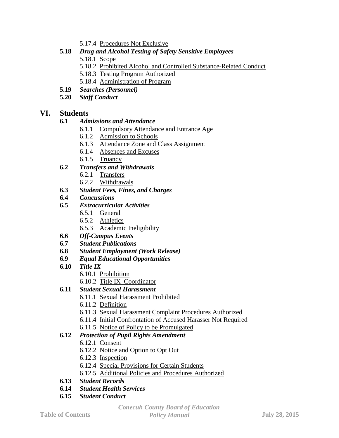- 5.17.4 Procedures Not Exclusive
- **5.18** *Drug and Alcohol Testing of Safety Sensitive Employees*
	- 5.18.1 Scope
	- 5.18.2 Prohibited Alcohol and Controlled Substance-Related Conduct
	- 5.18.3 Testing Program Authorized
	- 5.18.4 Administration of Program
- **5.19** *Searches (Personnel)*
- **5.20** *Staff Conduct*

# **VI. Students**

# **6.1** *Admissions and Attendance*

- 6.1.1 Compulsory Attendance and Entrance Age
- 6.1.2 Admission to Schools
- 6.1.3 Attendance Zone and Class Assignment
- 6.1.4 Absences and Excuses
- 6.1.5 Truancy
- **6.2** *Transfers and Withdrawals*
	- 6.2.1 Transfers
	- 6.2.2 Withdrawals
- **6.3** *Student Fees, Fines, and Charges*
- **6.4** *Concussions*
- **6.5** *Extracurricular Activities*
	- 6.5.1 General
	- 6.5.2 Athletics
	- 6.5.3 Academic Ineligibility
- **6.6** *Off-Campus Events*
- **6.7** *Student Publications*
- **6.8** *Student Employment (Work Release)*
- **6.9** *Equal Educational Opportunities*
- **6.10** *Title IX*
	- 6.10.1 Prohibition
	- 6.10.2 Title IX Coordinator

# **6.11** *Student Sexual Harassment*

- 6.11.1 Sexual Harassment Prohibited
- 6.11.2 Definition
- 6.11.3 Sexual Harassment Complaint Procedures Authorized
- 6.11.4 Initial Confrontation of Accused Harasser Not Required
- 6.11.5 Notice of Policy to be Promulgated

# **6.12** *Protection of Pupil Rights Amendment*

- 6.12.1 Consent
- 6.12.2 Notice and Option to Opt Out
- 6.12.3 Inspection
- 6.12.4 Special Provisions for Certain Students
- 6.12.5 Additional Policies and Procedures Authorized
- **6.13** *Student Records*
- **6.14** *Student Health Services*
- **6.15** *Student Conduct*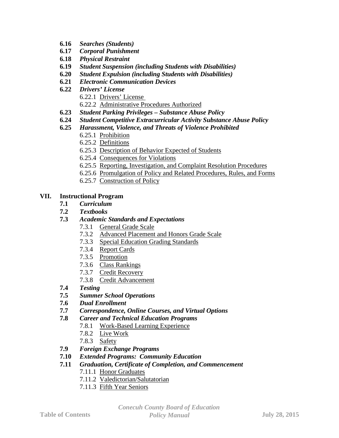- **6.16** *Searches (Students)*
- **6.17** *Corporal Punishment*
- **6.18** *Physical Restraint*
- **6.19** *Student Suspension (including Students with Disabilities)*
- **6.20** *Student Expulsion (including Students with Disabilities)*
- **6.21** *Electronic Communication Devices*
- **6.22** *Drivers' License* 6.22.1 Drivers' License 6.22.2 Administrative Procedures Authorized
- **6.23** *Student Parking Privileges – Substance Abuse Policy*
- **6.24** *Student Competitive Extracurricular Activity Substance Abuse Policy*
- **6.25** *Harassment, Violence, and Threats of Violence Prohibited*
	- 6.25.1 Prohibition
	- 6.25.2 Definitions
	- 6.25.3 Description of Behavior Expected of Students
	- 6.25.4 Consequences for Violations
	- 6.25.5 Reporting, Investigation, and Complaint Resolution Procedures
	- 6.25.6 Promulgation of Policy and Related Procedures, Rules, and Forms
	- 6.25.7 Construction of Policy

#### **VII. Instructional Program**

- **7.1** *Curriculum*
- **7.2** *Textbooks*
- **7.3** *Academic Standards and Expectations*
	- 7.3.1 General Grade Scale
	- 7.3.2 Advanced Placement and Honors Grade Scale
	- 7.3.3 Special Education Grading Standards
	- 7.3.4 Report Cards
	- 7.3.5 Promotion
	- 7.3.6 Class Rankings
	- 7.3.7 Credit Recovery
	- 7.3.8 Credit Advancement
- **7.4** *Testing*
- **7.5** *Summer School Operations*
- **7.6** *Dual Enrollment*
- **7.7** *Correspondence, Online Courses, and Virtual Options*
- **7.8** *Career and Technical Education Programs*
	- 7.8.1 Work-Based Learning Experience
	- 7.8.2 Live Work
	- 7.8.3 Safety
- **7.9** *Foreign Exchange Programs*
- **7.10** *Extended Programs: Community Education*
- **7.11** *Graduation, Certificate of Completion, and Commencement*
	- 7.11.1 Honor Graduates
		- 7.11.2 Valedictorian/Salutatorian
		- 7.11.3 Fifth Year Seniors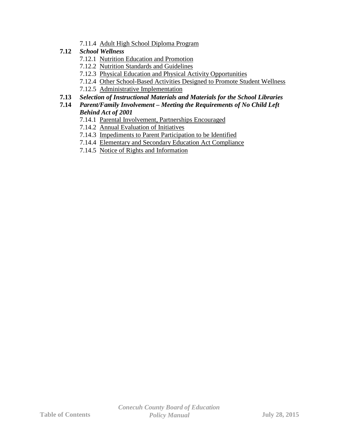- 7.11.4 Adult High School Diploma Program
- **7.12** *School Wellness*
	- 7.12.1 Nutrition Education and Promotion
	- 7.12.2 Nutrition Standards and Guidelines
	- 7.12.3 Physical Education and Physical Activity Opportunities
	- 7.12.4 Other School-Based Activities Designed to Promote Student Wellness
	- 7.12.5 Administrative Implementation

# **7.13** *Selection of Instructional Materials and Materials for the School Libraries*

# **7.14** *Parent/Family Involvement – Meeting the Requirements of No Child Left Behind Act of 2001*

- 7.14.1 Parental Involvement, Partnerships Encouraged
- 7.14.2 Annual Evaluation of Initiatives
- 7.14.3 Impediments to Parent Participation to be Identified
- 7.14.4 Elementary and Secondary Education Act Compliance
- 7.14.5 Notice of Rights and Information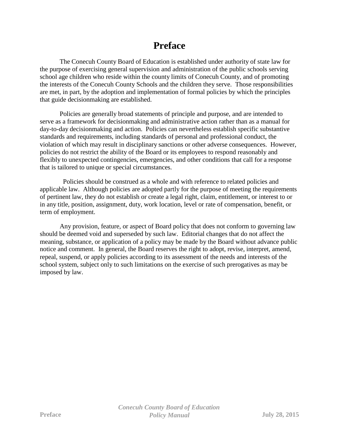# **Preface**

The Conecuh County Board of Education is established under authority of state law for the purpose of exercising general supervision and administration of the public schools serving school age children who reside within the county limits of Conecuh County, and of promoting the interests of the Conecuh County Schools and the children they serve. Those responsibilities are met, in part, by the adoption and implementation of formal policies by which the principles that guide decisionmaking are established.

Policies are generally broad statements of principle and purpose, and are intended to serve as a framework for decisionmaking and administrative action rather than as a manual for day-to-day decisionmaking and action. Policies can nevertheless establish specific substantive standards and requirements, including standards of personal and professional conduct, the violation of which may result in disciplinary sanctions or other adverse consequences. However, policies do not restrict the ability of the Board or its employees to respond reasonably and flexibly to unexpected contingencies, emergencies, and other conditions that call for a response that is tailored to unique or special circumstances.

Policies should be construed as a whole and with reference to related policies and applicable law. Although policies are adopted partly for the purpose of meeting the requirements of pertinent law, they do not establish or create a legal right, claim, entitlement, or interest to or in any title, position, assignment, duty, work location, level or rate of compensation, benefit, or term of employment.

Any provision, feature, or aspect of Board policy that does not conform to governing law should be deemed void and superseded by such law. Editorial changes that do not affect the meaning, substance, or application of a policy may be made by the Board without advance public notice and comment. In general, the Board reserves the right to adopt, revise, interpret, amend, repeal, suspend, or apply policies according to its assessment of the needs and interests of the school system, subject only to such limitations on the exercise of such prerogatives as may be imposed by law.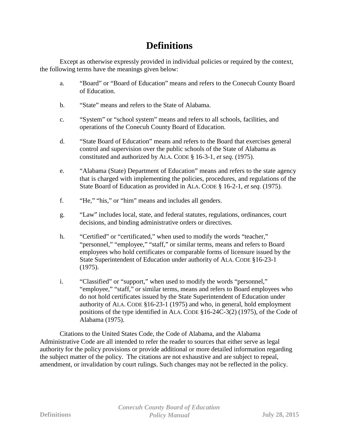# **Definitions**

Except as otherwise expressly provided in individual policies or required by the context, the following terms have the meanings given below:

- a. "Board" or "Board of Education" means and refers to the Conecuh County Board of Education.
- b. "State" means and refers to the State of Alabama.
- c. "System" or "school system" means and refers to all schools, facilities, and operations of the Conecuh County Board of Education.
- d. "State Board of Education" means and refers to the Board that exercises general control and supervision over the public schools of the State of Alabama as constituted and authorized by ALA. CODE § 16-3-1, *et seq.* (1975).
- e. "Alabama (State) Department of Education" means and refers to the state agency that is charged with implementing the policies, procedures, and regulations of the State Board of Education as provided in ALA. CODE § 16-2-1, *et seq.* (1975).
- f. "He," "his," or "him" means and includes all genders.
- g. "Law" includes local, state, and federal statutes, regulations, ordinances, court decisions, and binding administrative orders or directives.
- h. "Certified" or "certificated," when used to modify the words "teacher," "personnel," "employee," "staff," or similar terms, means and refers to Board employees who hold certificates or comparable forms of licensure issued by the State Superintendent of Education under authority of ALA. CODE §16-23-1 (1975).
- i. "Classified" or "support," when used to modify the words "personnel," "employee," "staff," or similar terms, means and refers to Board employees who do not hold certificates issued by the State Superintendent of Education under authority of ALA. CODE §16-23-1 (1975) and who, in general, hold employment positions of the type identified in ALA. CODE §16-24C-3(2) (1975), of the Code of Alabama (1975).

Citations to the United States Code, the Code of Alabama, and the Alabama Administrative Code are all intended to refer the reader to sources that either serve as legal authority for the policy provisions or provide additional or more detailed information regarding the subject matter of the policy. The citations are not exhaustive and are subject to repeal, amendment, or invalidation by court rulings. Such changes may not be reflected in the policy.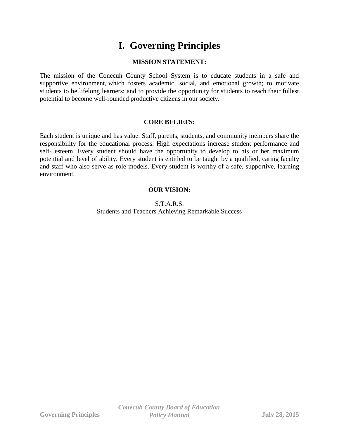# **I. Governing Principles**

# **MISSION STATEMENT:**

The mission of the Conecuh County School System is to educate students in a safe and supportive environment, which fosters academic, social, and emotional growth; to motivate students to be lifelong learners; and to provide the opportunity for students to reach their fullest potential to become well-rounded productive citizens in our society.

#### **CORE BELIEFS:**

Each student is unique and has value. Staff, parents, students, and community members share the responsibility for the educational process. High expectations increase student performance and self- esteem. Every student should have the opportunity to develop to his or her maximum potential and level of ability. Every student is entitled to be taught by a qualified, caring faculty and staff who also serve as role models. Every student is worthy of a safe, supportive, learning environment.

# **OUR VISION:**

S.T.A.R.S. Students and Teachers Achieving Remarkable Success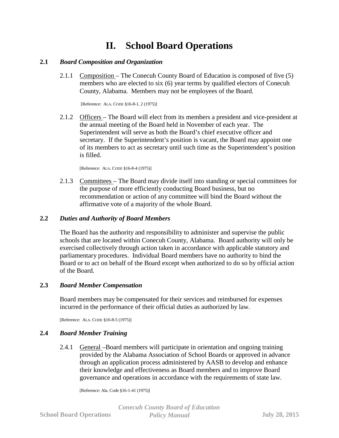# **II. School Board Operations**

#### **2.1** *Board Composition and Organization*

2.1.1 Composition – The Conecuh County Board of Education is composed of five (5) members who are elected to six (6) year terms by qualified electors of Conecuh County, Alabama. Members may not be employees of the Board.

[Reference: ALA. CODE §16-8-1, 2 (1975)]

2.1.2 Officers – The Board will elect from its members a president and vice-president at the annual meeting of the Board held in November of each year. The Superintendent will serve as both the Board's chief executive officer and secretary. If the Superintendent's position is vacant, the Board may appoint one of its members to act as secretary until such time as the Superintendent's position is filled.

[Reference: ALA. CODE §16-8-4 (1975)]

2.1.3 Committees – The Board may divide itself into standing or special committees for the purpose of more efficiently conducting Board business, but no recommendation or action of any committee will bind the Board without the affirmative vote of a majority of the whole Board.

#### **2.2** *Duties and Authority of Board Members*

The Board has the authority and responsibility to administer and supervise the public schools that are located within Conecuh County, Alabama. Board authority will only be exercised collectively through action taken in accordance with applicable statutory and parliamentary procedures. Individual Board members have no authority to bind the Board or to act on behalf of the Board except when authorized to do so by official action of the Board.

#### **2.3** *Board Member Compensation*

Board members may be compensated for their services and reimbursed for expenses incurred in the performance of their official duties as authorized by law.

[Reference: ALA. CODE §16-8-5 (1975)]

#### **2.4** *Board Member Training*

2.4.1 General –Board members will participate in orientation and ongoing training provided by the Alabama Association of School Boards or approved in advance through an application process administered by AASB to develop and enhance their knowledge and effectiveness as Board members and to improve Board governance and operations in accordance with the requirements of state law.

[Reference: Ala. Code §16-1-41 (1975)]

*Conecuh County Board of Education* **School Board Operations** *Policy Manual* **July 28, 2015**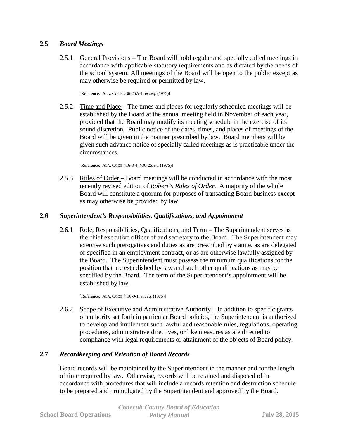#### **2.5** *Board Meetings*

2.5.1 General Provisions – The Board will hold regular and specially called meetings in accordance with applicable statutory requirements and as dictated by the needs of the school system. All meetings of the Board will be open to the public except as may otherwise be required or permitted by law.

[Reference: ALA. CODE §36-25A-1, *et seq.* (1975)]

2.5.2 Time and Place – The times and places for regularly scheduled meetings will be established by the Board at the annual meeting held in November of each year, provided that the Board may modify its meeting schedule in the exercise of its sound discretion. Public notice of the dates, times, and places of meetings of the Board will be given in the manner prescribed by law. Board members will be given such advance notice of specially called meetings as is practicable under the circumstances.

[Reference: ALA. CODE §16-8-4; §36-25A-1 (1975)]

2.5.3 Rules of Order – Board meetings will be conducted in accordance with the most recently revised edition of *Robert's Rules of Order*. A majority of the whole Board will constitute a quorum for purposes of transacting Board business except as may otherwise be provided by law.

#### **2.6** *Superintendent's Responsibilities, Qualifications, and Appointment*

2.6.1 Role, Responsibilities, Qualifications, and Term – The Superintendent serves as the chief executive officer of and secretary to the Board. The Superintendent may exercise such prerogatives and duties as are prescribed by statute, as are delegated or specified in an employment contract, or as are otherwise lawfully assigned by the Board. The Superintendent must possess the minimum qualifications for the position that are established by law and such other qualifications as may be specified by the Board. The term of the Superintendent's appointment will be established by law.

[Reference: ALA. CODE § 16-9-1, *et seq.* (1975)]

2.6.2 Scope of Executive and Administrative Authority – In addition to specific grants of authority set forth in particular Board policies, the Superintendent is authorized to develop and implement such lawful and reasonable rules, regulations, operating procedures, administrative directives, or like measures as are directed to compliance with legal requirements or attainment of the objects of Board policy.

# **2.7** *Recordkeeping and Retention of Board Records*

Board records will be maintained by the Superintendent in the manner and for the length of time required by law. Otherwise, records will be retained and disposed of in accordance with procedures that will include a records retention and destruction schedule to be prepared and promulgated by the Superintendent and approved by the Board.

|                                | <b>Conecuh County Board of Education</b> |                      |
|--------------------------------|------------------------------------------|----------------------|
| <b>School Board Operations</b> | <b>Policy Manual</b>                     | <b>July 28, 2015</b> |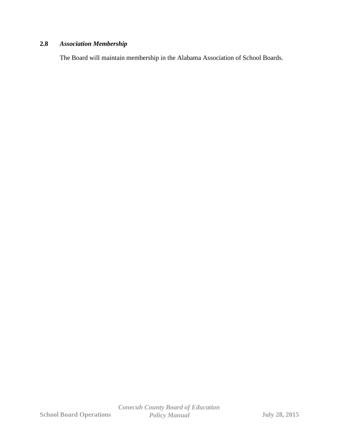# **2.8** *Association Membership*

The Board will maintain membership in the Alabama Association of School Boards.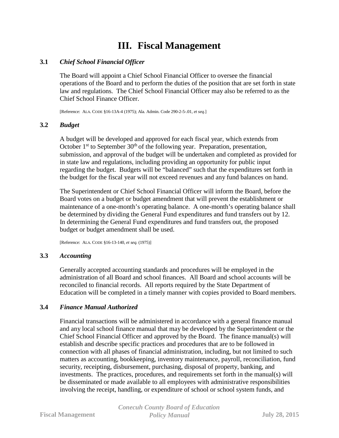# **III. Fiscal Management**

#### **3.1** *Chief School Financial Officer*

The Board will appoint a Chief School Financial Officer to oversee the financial operations of the Board and to perform the duties of the position that are set forth in state law and regulations. The Chief School Financial Officer may also be referred to as the Chief School Finance Officer.

[Reference: ALA. CODE §16-13A-4 (1975); Ala. Admin. Code 290-2-5-.01, *et seq.*]

#### **3.2** *Budget*

A budget will be developed and approved for each fiscal year, which extends from October  $1<sup>st</sup>$  to September  $30<sup>th</sup>$  of the following year. Preparation, presentation, submission, and approval of the budget will be undertaken and completed as provided for in state law and regulations, including providing an opportunity for public input regarding the budget. Budgets will be "balanced" such that the expenditures set forth in the budget for the fiscal year will not exceed revenues and any fund balances on hand.

The Superintendent or Chief School Financial Officer will inform the Board, before the Board votes on a budget or budget amendment that will prevent the establishment or maintenance of a one-month's operating balance. A one-month's operating balance shall be determined by dividing the General Fund expenditures and fund transfers out by 12. In determining the General Fund expenditures and fund transfers out, the proposed budget or budget amendment shall be used.

[Reference: ALA. CODE §16-13-140, *et seq.* (1975)]

#### **3.3** *Accounting*

Generally accepted accounting standards and procedures will be employed in the administration of all Board and school finances. All Board and school accounts will be reconciled to financial records. All reports required by the State Department of Education will be completed in a timely manner with copies provided to Board members.

#### **3.4** *Finance Manual Authorized*

Financial transactions will be administered in accordance with a general finance manual and any local school finance manual that may be developed by the Superintendent or the Chief School Financial Officer and approved by the Board. The finance manual(s) will establish and describe specific practices and procedures that are to be followed in connection with all phases of financial administration, including, but not limited to such matters as accounting, bookkeeping, inventory maintenance, payroll, reconciliation, fund security, receipting, disbursement, purchasing, disposal of property, banking, and investments. The practices, procedures, and requirements set forth in the manual(s) will be disseminated or made available to all employees with administrative responsibilities involving the receipt, handling, or expenditure of school or school system funds, and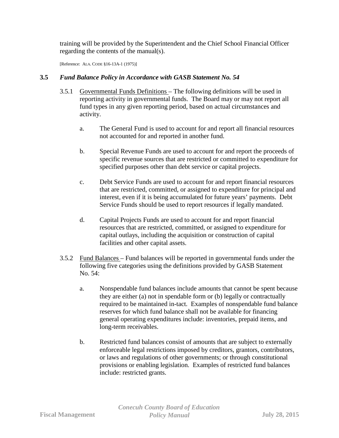training will be provided by the Superintendent and the Chief School Financial Officer regarding the contents of the manual(s).

[Reference: ALA. CODE §16-13A-1 (1975)]

# **3.5** *Fund Balance Policy in Accordance with GASB Statement No. 54*

- 3.5.1 Governmental Funds Definitions The following definitions will be used in reporting activity in governmental funds. The Board may or may not report all fund types in any given reporting period, based on actual circumstances and activity.
	- a. The General Fund is used to account for and report all financial resources not accounted for and reported in another fund.
	- b. Special Revenue Funds are used to account for and report the proceeds of specific revenue sources that are restricted or committed to expenditure for specified purposes other than debt service or capital projects.
	- c. Debt Service Funds are used to account for and report financial resources that are restricted, committed, or assigned to expenditure for principal and interest, even if it is being accumulated for future years' payments. Debt Service Funds should be used to report resources if legally mandated.
	- d. Capital Projects Funds are used to account for and report financial resources that are restricted, committed, or assigned to expenditure for capital outlays, including the acquisition or construction of capital facilities and other capital assets.
- 3.5.2 Fund Balances Fund balances will be reported in governmental funds under the following five categories using the definitions provided by GASB Statement No. 54:
	- a. Nonspendable fund balances include amounts that cannot be spent because they are either (a) not in spendable form or (b) legally or contractually required to be maintained in-tact. Examples of nonspendable fund balance reserves for which fund balance shall not be available for financing general operating expenditures include: inventories, prepaid items, and long-term receivables.
	- b. Restricted fund balances consist of amounts that are subject to externally enforceable legal restrictions imposed by creditors, grantors, contributors, or laws and regulations of other governments; or through constitutional provisions or enabling legislation. Examples of restricted fund balances include: restricted grants.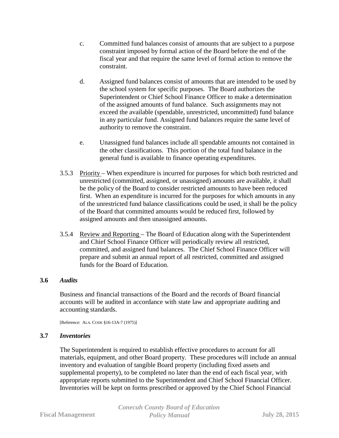- c. Committed fund balances consist of amounts that are subject to a purpose constraint imposed by formal action of the Board before the end of the fiscal year and that require the same level of formal action to remove the constraint.
- d. Assigned fund balances consist of amounts that are intended to be used by the school system for specific purposes. The Board authorizes the Superintendent or Chief School Finance Officer to make a determination of the assigned amounts of fund balance. Such assignments may not exceed the available (spendable, unrestricted, uncommitted) fund balance in any particular fund. Assigned fund balances require the same level of authority to remove the constraint.
- e. Unassigned fund balances include all spendable amounts not contained in the other classifications. This portion of the total fund balance in the general fund is available to finance operating expenditures.
- 3.5.3 Priority When expenditure is incurred for purposes for which both restricted and unrestricted (committed, assigned, or unassigned) amounts are available, it shall be the policy of the Board to consider restricted amounts to have been reduced first. When an expenditure is incurred for the purposes for which amounts in any of the unrestricted fund balance classifications could be used, it shall be the policy of the Board that committed amounts would be reduced first, followed by assigned amounts and then unassigned amounts.
- 3.5.4 Review and Reporting The Board of Education along with the Superintendent and Chief School Finance Officer will periodically review all restricted, committed, and assigned fund balances. The Chief School Finance Officer will prepare and submit an annual report of all restricted, committed and assigned funds for the Board of Education.

# **3.6** *Audits*

Business and financial transactions of the Board and the records of Board financial accounts will be audited in accordance with state law and appropriate auditing and accounting standards.

[Reference: ALA. CODE §16-13A-7 (1975)]

# **3.7** *Inventories*

The Superintendent is required to establish effective procedures to account for all materials, equipment, and other Board property. These procedures will include an annual inventory and evaluation of tangible Board property (including fixed assets and supplemental property), to be completed no later than the end of each fiscal year, with appropriate reports submitted to the Superintendent and Chief School Financial Officer. Inventories will be kept on forms prescribed or approved by the Chief School Financial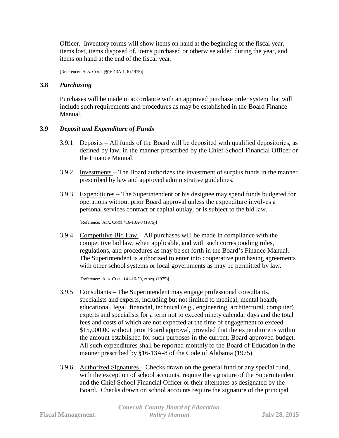Officer. Inventory forms will show items on hand at the beginning of the fiscal year, items lost, items disposed of, items purchased or otherwise added during the year, and items on hand at the end of the fiscal year.

[Reference: ALA. CODE §§16-13A-1, 6 (1975)]

#### **3.8** *Purchasing*

Purchases will be made in accordance with an approved purchase order system that will include such requirements and procedures as may be established in the Board Finance Manual.

#### **3.9** *Deposit and Expenditure of Funds*

- 3.9.1 Deposits All funds of the Board will be deposited with qualified depositories, as defined by law, in the manner prescribed by the Chief School Financial Officer or the Finance Manual.
- 3.9.2 Investments The Board authorizes the investment of surplus funds in the manner prescribed by law and approved administrative guidelines.
- 3.9.3 Expenditures The Superintendent or his designee may spend funds budgeted for operations without prior Board approval unless the expenditure involves a personal services contract or capital outlay, or is subject to the bid law.

[Reference: ALA. CODE §16-13A-8 (1975)]

3.9.4 Competitive Bid Law – All purchases will be made in compliance with the competitive bid law, when applicable, and with such corresponding rules, regulations, and procedures as may be set forth in the Board's Finance Manual. The Superintendent is authorized to enter into cooperative purchasing agreements with other school systems or local governments as may be permitted by law.

[Reference: ALA. CODE §41-16-50, *et seq.* (1975)]

- 3.9.5 Consultants The Superintendent may engage professional consultants, specialists and experts, including but not limited to medical, mental health, educational, legal, financial, technical (e.g., engineering, architectural, computer) experts and specialists for a term not to exceed ninety calendar days and the total fees and costs of which are not expected at the time of engagement to exceed \$15,000.00 without prior Board approval, provided that the expenditure is within the amount established for such purposes in the current, Board approved budget. All such expenditures shall be reported monthly to the Board of Education in the manner prescribed by §16-13A-8 of the Code of Alabama (1975).
- 3.9.6 Authorized Signatures Checks drawn on the general fund or any special fund, with the exception of school accounts, require the signature of the Superintendent and the Chief School Financial Officer or their alternates as designated by the Board. Checks drawn on school accounts require the signature of the principal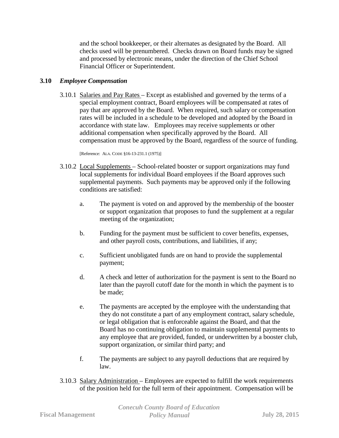and the school bookkeeper, or their alternates as designated by the Board. All checks used will be prenumbered. Checks drawn on Board funds may be signed and processed by electronic means, under the direction of the Chief School Financial Officer or Superintendent.

#### **3.10** *Employee Compensation*

3.10.1 Salaries and Pay Rates – Except as established and governed by the terms of a special employment contract, Board employees will be compensated at rates of pay that are approved by the Board. When required, such salary or compensation rates will be included in a schedule to be developed and adopted by the Board in accordance with state law. Employees may receive supplements or other additional compensation when specifically approved by the Board. All compensation must be approved by the Board, regardless of the source of funding.

[Reference: ALA. CODE §16-13-231.1 (1975)]

- 3.10.2 Local Supplements School-related booster or support organizations may fund local supplements for individual Board employees if the Board approves such supplemental payments. Such payments may be approved only if the following conditions are satisfied:
	- a. The payment is voted on and approved by the membership of the booster or support organization that proposes to fund the supplement at a regular meeting of the organization;
	- b. Funding for the payment must be sufficient to cover benefits, expenses, and other payroll costs, contributions, and liabilities, if any;
	- c. Sufficient unobligated funds are on hand to provide the supplemental payment;
	- d. A check and letter of authorization for the payment is sent to the Board no later than the payroll cutoff date for the month in which the payment is to be made;
	- e. The payments are accepted by the employee with the understanding that they do not constitute a part of any employment contract, salary schedule, or legal obligation that is enforceable against the Board, and that the Board has no continuing obligation to maintain supplemental payments to any employee that are provided, funded, or underwritten by a booster club, support organization, or similar third party; and
	- f. The payments are subject to any payroll deductions that are required by law.
- 3.10.3 Salary Administration Employees are expected to fulfill the work requirements of the position held for the full term of their appointment. Compensation will be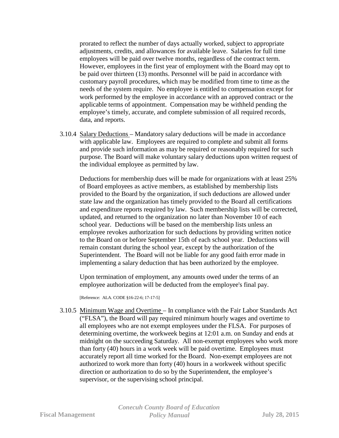prorated to reflect the number of days actually worked, subject to appropriate adjustments, credits, and allowances for available leave. Salaries for full time employees will be paid over twelve months, regardless of the contract term. However, employees in the first year of employment with the Board may opt to be paid over thirteen (13) months. Personnel will be paid in accordance with customary payroll procedures, which may be modified from time to time as the needs of the system require. No employee is entitled to compensation except for work performed by the employee in accordance with an approved contract or the applicable terms of appointment. Compensation may be withheld pending the employee's timely, accurate, and complete submission of all required records, data, and reports.

3.10.4 Salary Deductions – Mandatory salary deductions will be made in accordance with applicable law. Employees are required to complete and submit all forms and provide such information as may be required or reasonably required for such purpose. The Board will make voluntary salary deductions upon written request of the individual employee as permitted by law.

Deductions for membership dues will be made for organizations with at least 25% of Board employees as active members, as established by membership lists provided to the Board by the organization, if such deductions are allowed under state law and the organization has timely provided to the Board all certifications and expenditure reports required by law. Such membership lists will be corrected, updated, and returned to the organization no later than November 10 of each school year. Deductions will be based on the membership lists unless an employee revokes authorization for such deductions by providing written notice to the Board on or before September 15th of each school year. Deductions will remain constant during the school year, except by the authorization of the Superintendent. The Board will not be liable for any good faith error made in implementing a salary deduction that has been authorized by the employee.

Upon termination of employment, any amounts owed under the terms of an employee authorization will be deducted from the employee's final pay.

[Reference: ALA. CODE §16-22-6; 17-17-5]

3.10.5 Minimum Wage and Overtime – In compliance with the Fair Labor Standards Act ("FLSA"), the Board will pay required minimum hourly wages and overtime to all employees who are not exempt employees under the FLSA. For purposes of determining overtime, the workweek begins at 12:01 a.m. on Sunday and ends at midnight on the succeeding Saturday. All non-exempt employees who work more than forty (40) hours in a work week will be paid overtime. Employees must accurately report all time worked for the Board. Non-exempt employees are not authorized to work more than forty (40) hours in a workweek without specific direction or authorization to do so by the Superintendent, the employee's supervisor, or the supervising school principal.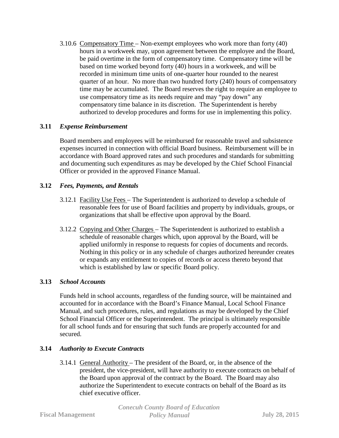3.10.6 Compensatory Time – Non-exempt employees who work more than forty (40) hours in a workweek may, upon agreement between the employee and the Board, be paid overtime in the form of compensatory time. Compensatory time will be based on time worked beyond forty (40) hours in a workweek, and will be recorded in minimum time units of one-quarter hour rounded to the nearest quarter of an hour. No more than two hundred forty (240) hours of compensatory time may be accumulated. The Board reserves the right to require an employee to use compensatory time as its needs require and may "pay down" any compensatory time balance in its discretion. The Superintendent is hereby authorized to develop procedures and forms for use in implementing this policy.

#### **3.11** *Expense Reimbursement*

Board members and employees will be reimbursed for reasonable travel and subsistence expenses incurred in connection with official Board business. Reimbursement will be in accordance with Board approved rates and such procedures and standards for submitting and documenting such expenditures as may be developed by the Chief School Financial Officer or provided in the approved Finance Manual.

#### **3.12** *Fees, Payments, and Rentals*

- 3.12.1 Facility Use Fees The Superintendent is authorized to develop a schedule of reasonable fees for use of Board facilities and property by individuals, groups, or organizations that shall be effective upon approval by the Board.
- 3.12.2 Copying and Other Charges The Superintendent is authorized to establish a schedule of reasonable charges which, upon approval by the Board, will be applied uniformly in response to requests for copies of documents and records. Nothing in this policy or in any schedule of charges authorized hereunder creates or expands any entitlement to copies of records or access thereto beyond that which is established by law or specific Board policy.

#### **3.13** *School Accounts*

Funds held in school accounts, regardless of the funding source, will be maintained and accounted for in accordance with the Board's Finance Manual, Local School Finance Manual, and such procedures, rules, and regulations as may be developed by the Chief School Financial Officer or the Superintendent. The principal is ultimately responsible for all school funds and for ensuring that such funds are properly accounted for and secured.

#### **3.14** *Authority to Execute Contracts*

3.14.1 General Authority – The president of the Board, or, in the absence of the president, the vice-president, will have authority to execute contracts on behalf of the Board upon approval of the contract by the Board. The Board may also authorize the Superintendent to execute contracts on behalf of the Board as its chief executive officer.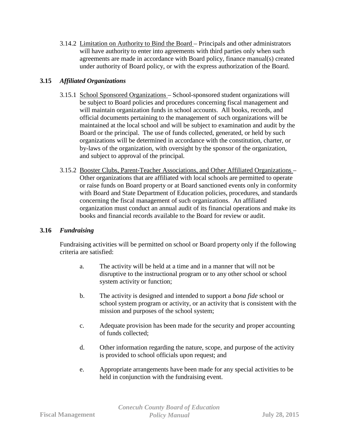3.14.2 Limitation on Authority to Bind the Board – Principals and other administrators will have authority to enter into agreements with third parties only when such agreements are made in accordance with Board policy, finance manual(s) created under authority of Board policy, or with the express authorization of the Board.

# **3.15** *Affiliated Organizations*

- 3.15.1 School Sponsored Organizations School-sponsored student organizations will be subject to Board policies and procedures concerning fiscal management and will maintain organization funds in school accounts. All books, records, and official documents pertaining to the management of such organizations will be maintained at the local school and will be subject to examination and audit by the Board or the principal. The use of funds collected, generated, or held by such organizations will be determined in accordance with the constitution, charter, or by-laws of the organization, with oversight by the sponsor of the organization, and subject to approval of the principal.
- 3.15.2 Booster Clubs, Parent-Teacher Associations, and Other Affiliated Organizations Other organizations that are affiliated with local schools are permitted to operate or raise funds on Board property or at Board sanctioned events only in conformity with Board and State Department of Education policies, procedures, and standards concerning the fiscal management of such organizations. An affiliated organization must conduct an annual audit of its financial operations and make its books and financial records available to the Board for review or audit.

# **3.16** *Fundraising*

Fundraising activities will be permitted on school or Board property only if the following criteria are satisfied:

- a. The activity will be held at a time and in a manner that will not be disruptive to the instructional program or to any other school or school system activity or function;
- b. The activity is designed and intended to support a *bona fide* school or school system program or activity, or an activity that is consistent with the mission and purposes of the school system;
- c. Adequate provision has been made for the security and proper accounting of funds collected;
- d. Other information regarding the nature, scope, and purpose of the activity is provided to school officials upon request; and
- e. Appropriate arrangements have been made for any special activities to be held in conjunction with the fundraising event.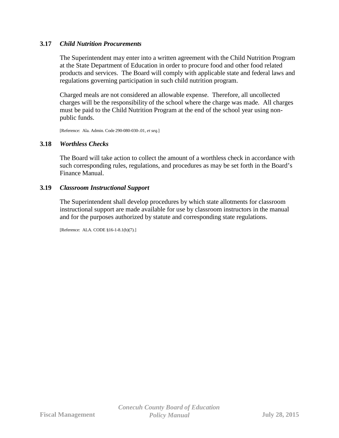#### **3.17** *Child Nutrition Procurements*

The Superintendent may enter into a written agreement with the Child Nutrition Program at the State Department of Education in order to procure food and other food related products and services. The Board will comply with applicable state and federal laws and regulations governing participation in such child nutrition program.

Charged meals are not considered an allowable expense. Therefore, all uncollected charges will be the responsibility of the school where the charge was made. All charges must be paid to the Child Nutrition Program at the end of the school year using nonpublic funds.

[Reference: Ala. Admin. Code 290-080-030-.01, *et seq.*]

#### **3.18** *Worthless Checks*

The Board will take action to collect the amount of a worthless check in accordance with such corresponding rules, regulations, and procedures as may be set forth in the Board's Finance Manual.

#### **3.19** *Classroom Instructional Support*

The Superintendent shall develop procedures by which state allotments for classroom instructional support are made available for use by classroom instructors in the manual and for the purposes authorized by statute and corresponding state regulations.

[Reference: ALA. CODE §16-1-8.1(b)(7)*.*]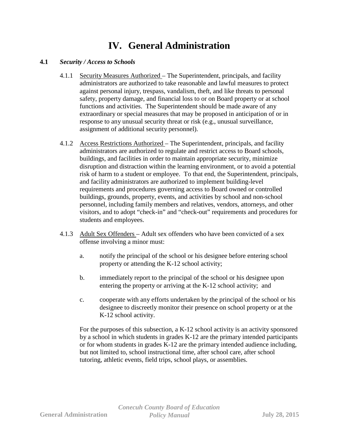# **IV. General Administration**

#### **4.1** *Security / Access to Schools*

- 4.1.1 Security Measures Authorized The Superintendent, principals, and facility administrators are authorized to take reasonable and lawful measures to protect against personal injury, trespass, vandalism, theft, and like threats to personal safety, property damage, and financial loss to or on Board property or at school functions and activities. The Superintendent should be made aware of any extraordinary or special measures that may be proposed in anticipation of or in response to any unusual security threat or risk (e.g., unusual surveillance, assignment of additional security personnel).
- 4.1.2 Access Restrictions Authorized The Superintendent, principals, and facility administrators are authorized to regulate and restrict access to Board schools, buildings, and facilities in order to maintain appropriate security, minimize disruption and distraction within the learning environment, or to avoid a potential risk of harm to a student or employee. To that end, the Superintendent, principals, and facility administrators are authorized to implement building-level requirements and procedures governing access to Board owned or controlled buildings, grounds, property, events, and activities by school and non-school personnel, including family members and relatives, vendors, attorneys, and other visitors, and to adopt "check-in" and "check-out" requirements and procedures for students and employees.
- 4.1.3 Adult Sex Offenders Adult sex offenders who have been convicted of a sex offense involving a minor must:
	- a. notify the principal of the school or his designee before entering school property or attending the K-12 school activity;
	- b. immediately report to the principal of the school or his designee upon entering the property or arriving at the K-12 school activity; and
	- c. cooperate with any efforts undertaken by the principal of the school or his designee to discreetly monitor their presence on school property or at the K-12 school activity.

For the purposes of this subsection, a K-12 school activity is an activity sponsored by a school in which students in grades K-12 are the primary intended participants or for whom students in grades K-12 are the primary intended audience including, but not limited to, school instructional time, after school care, after school tutoring, athletic events, field trips, school plays, or assemblies.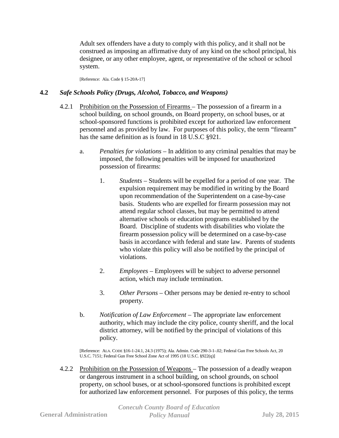Adult sex offenders have a duty to comply with this policy, and it shall not be construed as imposing an affirmative duty of any kind on the school principal, his designee, or any other employee, agent, or representative of the school or school system.

[Reference: Ala. Code § 15-20A-17]

#### **4.2** *Safe Schools Policy (Drugs, Alcohol, Tobacco, and Weapons)*

- 4.2.1 Prohibition on the Possession of Firearms The possession of a firearm in a school building, on school grounds, on Board property, on school buses, or at school-sponsored functions is prohibited except for authorized law enforcement personnel and as provided by law. For purposes of this policy, the term "firearm" has the same definition as is found in 18 U.S.C §921.
	- a. *Penalties for violations* In addition to any criminal penalties that may be imposed, the following penalties will be imposed for unauthorized possession of firearms:
		- 1. *Students*  Students will be expelled for a period of one year. The expulsion requirement may be modified in writing by the Board upon recommendation of the Superintendent on a case-by-case basis. Students who are expelled for firearm possession may not attend regular school classes, but may be permitted to attend alternative schools or education programs established by the Board. Discipline of students with disabilities who violate the firearm possession policy will be determined on a case-by-case basis in accordance with federal and state law. Parents of students who violate this policy will also be notified by the principal of violations.
		- 2. *Employees* Employees will be subject to adverse personnel action, which may include termination.
		- 3. *Other Persons* Other persons may be denied re-entry to school property.
	- b. *Notification of Law Enforcement* The appropriate law enforcement authority, which may include the city police, county sheriff, and the local district attorney, will be notified by the principal of violations of this policy.

[Reference: ALA. CODE §16-1-24.1, 24.3 (1975); Ala. Admin. Code 290-3-1-.02; Federal Gun Free Schools Act, 20 U.S.C. 7151; Federal Gun Free School Zone Act of 1995 (18 U.S.C. §922(q)]

4.2.2 Prohibition on the Possession of Weapons – The possession of a deadly weapon or dangerous instrument in a school building, on school grounds, on school property, on school buses, or at school-sponsored functions is prohibited except for authorized law enforcement personnel. For purposes of this policy, the terms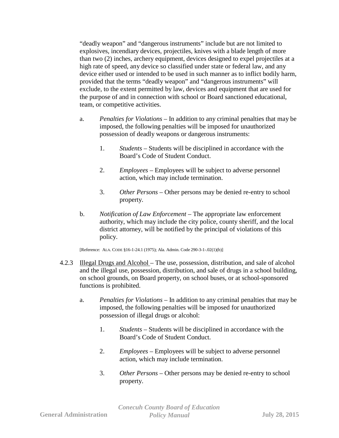"deadly weapon" and "dangerous instruments" include but are not limited to explosives, incendiary devices, projectiles, knives with a blade length of more than two (2) inches, archery equipment, devices designed to expel projectiles at a high rate of speed, any device so classified under state or federal law, and any device either used or intended to be used in such manner as to inflict bodily harm, provided that the terms "deadly weapon" and "dangerous instruments" will exclude, to the extent permitted by law, devices and equipment that are used for the purpose of and in connection with school or Board sanctioned educational, team, or competitive activities.

- a. *Penalties for Violations –* In addition to any criminal penalties that may be imposed, the following penalties will be imposed for unauthorized possession of deadly weapons or dangerous instruments:
	- 1. *Students*  Students will be disciplined in accordance with the Board's Code of Student Conduct.
	- 2. *Employees* Employees will be subject to adverse personnel action, which may include termination.
	- 3. *Other Persons* Other persons may be denied re-entry to school property.
- b. *Notification of Law Enforcement* The appropriate law enforcement authority, which may include the city police, county sheriff, and the local district attorney, will be notified by the principal of violations of this policy.

[Reference: ALA. CODE §16-1-24.1 (1975); Ala. Admin. Code 290-3-1-.02(1)(b)]

- 4.2.3 Illegal Drugs and Alcohol The use, possession, distribution, and sale of alcohol and the illegal use, possession, distribution, and sale of drugs in a school building, on school grounds, on Board property, on school buses, or at school-sponsored functions is prohibited.
	- a. *Penalties for Violations* In addition to any criminal penalties that may be imposed, the following penalties will be imposed for unauthorized possession of illegal drugs or alcohol:
		- 1. *Students*  Students will be disciplined in accordance with the Board's Code of Student Conduct.
		- 2. *Employees* Employees will be subject to adverse personnel action, which may include termination.
		- 3. *Other Persons* Other persons may be denied re-entry to school property.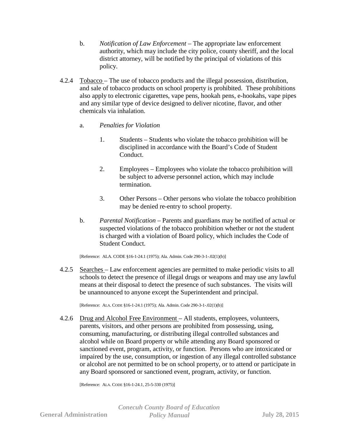- b. *Notification of Law Enforcement* The appropriate law enforcement authority, which may include the city police, county sheriff, and the local district attorney, will be notified by the principal of violations of this policy.
- 4.2.4 Tobacco The use of tobacco products and the illegal possession, distribution, and sale of tobacco products on school property is prohibited. These prohibitions also apply to electronic cigarettes, vape pens, hookah pens, e-hookahs, vape pipes and any similar type of device designed to deliver nicotine, flavor, and other chemicals via inhalation.
	- a. *Penalties for Violation*
		- 1. Students Students who violate the tobacco prohibition will be disciplined in accordance with the Board's Code of Student Conduct.
		- 2. Employees Employees who violate the tobacco prohibition will be subject to adverse personnel action, which may include termination.
		- 3. Other Persons Other persons who violate the tobacco prohibition may be denied re-entry to school property.
	- b. *Parental Notification* Parents and guardians may be notified of actual or suspected violations of the tobacco prohibition whether or not the student is charged with a violation of Board policy, which includes the Code of Student Conduct.

[Reference: ALA. CODE §16-1-24.1 (1975); Ala. Admin. Code 290-3-1-.02(1)(b)]

4.2.5 Searches – Law enforcement agencies are permitted to make periodic visits to all schools to detect the presence of illegal drugs or weapons and may use any lawful means at their disposal to detect the presence of such substances. The visits will be unannounced to anyone except the Superintendent and principal.

[Reference: ALA. CODE §16-1-24.1 (1975); Ala. Admin. Code 290-3-1-.02(1)(b)]

4.2.6 Drug and Alcohol Free Environment – All students, employees, volunteers, parents, visitors, and other persons are prohibited from possessing, using, consuming, manufacturing, or distributing illegal controlled substances and alcohol while on Board property or while attending any Board sponsored or sanctioned event, program, activity, or function. Persons who are intoxicated or impaired by the use, consumption, or ingestion of any illegal controlled substance or alcohol are not permitted to be on school property, or to attend or participate in any Board sponsored or sanctioned event, program, activity, or function.

[Reference: ALA. CODE §16-1-24.1, 25-5-330 (1975)]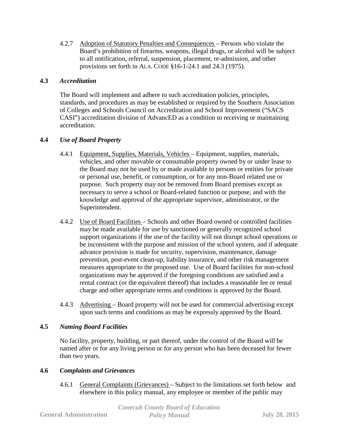4.2.7 Adoption of Statutory Penalties and Consequences – Persons who violate the Board's prohibition of firearms, weapons, illegal drugs, or alcohol will be subject to all notification, referral, suspension, placement, re-admission, and other provisions set forth in ALA. CODE §16-1-24.1 and 24.3 (1975).

# **4.3** *Accreditation*

The Board will implement and adhere to such accreditation policies, principles, standards, and procedures as may be established or required by the Southern Association of Colleges and Schools Council on Accreditation and School Improvement ("SACS CASI") accreditation division of AdvancED as a condition to receiving or maintaining accreditation.

# **4.4** *Use of Board Property*

- 4.4.1 Equipment, Supplies, Materials, Vehicles Equipment, supplies, materials, vehicles, and other movable or consumable property owned by or under lease to the Board may not be used by or made available to persons or entities for private or personal use, benefit, or consumption, or for any non-Board related use or purpose. Such property may not be removed from Board premises except as necessary to serve a school or Board-related function or purpose, and with the knowledge and approval of the appropriate supervisor, administrator, or the Superintendent.
- 4.4.2 Use of Board Facilities Schools and other Board owned or controlled facilities may be made available for use by sanctioned or generally recognized school support organizations if the use of the facility will not disrupt school operations or be inconsistent with the purpose and mission of the school system, and if adequate advance provision is made for security, supervision, maintenance, damage prevention, post-event clean-up, liability insurance, and other risk management measures appropriate to the proposed use. Use of Board facilities for non-school organizations may be approved if the foregoing conditions are satisfied and a rental contract (or the equivalent thereof) that includes a reasonable fee or rental charge and other appropriate terms and conditions is approved by the Board.
- 4.4.3 Advertising Board property will not be used for commercial advertising except upon such terms and conditions as may be expressly approved by the Board.

# **4.5** *Naming Board Facilities*

No facility, property, building, or part thereof, under the control of the Board will be named after or for any living person or for any person who has been deceased for fewer than two years.

# **4.6** *Complaints and Grievances*

4.6.1 General Complaints (Grievances) – Subject to the limitations set forth below and elsewhere in this policy manual, any employee or member of the public may

|                               | <b>Conecuh County Board of Education</b> |                      |
|-------------------------------|------------------------------------------|----------------------|
| <b>General Administration</b> | <b>Policy Manual</b>                     | <b>July 28, 2015</b> |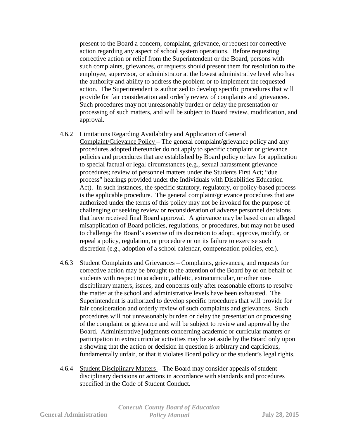present to the Board a concern, complaint, grievance, or request for corrective action regarding any aspect of school system operations. Before requesting corrective action or relief from the Superintendent or the Board, persons with such complaints, grievances, or requests should present them for resolution to the employee, supervisor, or administrator at the lowest administrative level who has the authority and ability to address the problem or to implement the requested action. The Superintendent is authorized to develop specific procedures that will provide for fair consideration and orderly review of complaints and grievances. Such procedures may not unreasonably burden or delay the presentation or processing of such matters, and will be subject to Board review, modification, and approval.

#### 4.6.2 Limitations Regarding Availability and Application of General

Complaint/Grievance Policy – The general complaint/grievance policy and any procedures adopted thereunder do not apply to specific complaint or grievance policies and procedures that are established by Board policy or law for application to special factual or legal circumstances (e.g., sexual harassment grievance procedures; review of personnel matters under the Students First Act; "due process" hearings provided under the Individuals with Disabilities Education Act). In such instances, the specific statutory, regulatory, or policy-based process is the applicable procedure. The general complaint/grievance procedures that are authorized under the terms of this policy may not be invoked for the purpose of challenging or seeking review or reconsideration of adverse personnel decisions that have received final Board approval. A grievance may be based on an alleged misapplication of Board policies, regulations, or procedures, but may not be used to challenge the Board's exercise of its discretion to adopt, approve, modify, or repeal a policy, regulation, or procedure or on its failure to exercise such discretion (e.g., adoption of a school calendar, compensation policies, etc.).

- 4.6.3 Student Complaints and Grievances Complaints, grievances, and requests for corrective action may be brought to the attention of the Board by or on behalf of students with respect to academic, athletic, extracurricular, or other nondisciplinary matters, issues, and concerns only after reasonable efforts to resolve the matter at the school and administrative levels have been exhausted. The Superintendent is authorized to develop specific procedures that will provide for fair consideration and orderly review of such complaints and grievances. Such procedures will not unreasonably burden or delay the presentation or processing of the complaint or grievance and will be subject to review and approval by the Board. Administrative judgments concerning academic or curricular matters or participation in extracurricular activities may be set aside by the Board only upon a showing that the action or decision in question is arbitrary and capricious, fundamentally unfair, or that it violates Board policy or the student's legal rights.
- 4.6.4 Student Disciplinary Matters The Board may consider appeals of student disciplinary decisions or actions in accordance with standards and procedures specified in the Code of Student Conduct.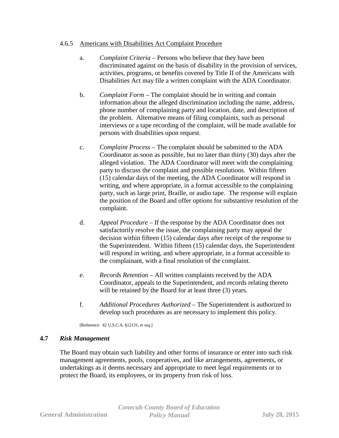#### 4.6.5 Americans with Disabilities Act Complaint Procedure

- a. *Complaint Criteria* Persons who believe that they have been discriminated against on the basis of disability in the provision of services, activities, programs, or benefits covered by Title II of the Americans with Disabilities Act may file a written complaint with the ADA Coordinator.
- b. *Complaint Form*  The complaint should be in writing and contain information about the alleged discrimination including the name, address, phone number of complaining party and location, date, and description of the problem. Alternative means of filing complaints, such as personal interviews or a tape recording of the complaint, will be made available for persons with disabilities upon request.
- c. *Complaint Process* The complaint should be submitted to the ADA Coordinator as soon as possible, but no later than thirty (30) days after the alleged violation. The ADA Coordinator will meet with the complaining party to discuss the complaint and possible resolutions. Within fifteen (15) calendar days of the meeting, the ADA Coordinator will respond in writing, and where appropriate, in a format accessible to the complaining party, such as large print, Braille, or audio tape. The response will explain the position of the Board and offer options for substantive resolution of the complaint.
- d. *Appeal Procedure*  If the response by the ADA Coordinator does not satisfactorily resolve the issue, the complaining party may appeal the decision within fifteen (15) calendar days after receipt of the response to the Superintendent. Within fifteen (15) calendar days, the Superintendent will respond in writing, and where appropriate, in a format accessible to the complainant, with a final resolution of the complaint.
- e. *Records Retention* All written complaints received by the ADA Coordinator, appeals to the Superintendent, and records relating thereto will be retained by the Board for at least three (3) years.
- f. *Additional Procedures Authorized*  The Superintendent is authorized to develop such procedures as are necessary to implement this policy.

[Reference: 42 U.S.C.A. §12131, *et seq.*]

#### **4.7** *Risk Management*

The Board may obtain such liability and other forms of insurance or enter into such risk management agreements, pools, cooperatives, and like arrangements, agreements, or undertakings as it deems necessary and appropriate to meet legal requirements or to protect the Board, its employees, or its property from risk of loss.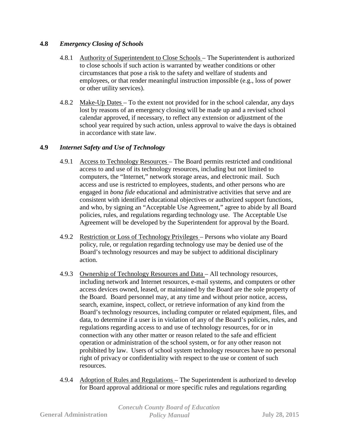# **4.8** *Emergency Closing of Schools*

- 4.8.1 Authority of Superintendent to Close Schools The Superintendent is authorized to close schools if such action is warranted by weather conditions or other circumstances that pose a risk to the safety and welfare of students and employees, or that render meaningful instruction impossible (e.g., loss of power or other utility services).
- 4.8.2 Make-Up Dates To the extent not provided for in the school calendar, any days lost by reasons of an emergency closing will be made up and a revised school calendar approved, if necessary, to reflect any extension or adjustment of the school year required by such action, unless approval to waive the days is obtained in accordance with state law.

#### **4.9** *Internet Safety and Use of Technology*

- 4.9.1 Access to Technology Resources The Board permits restricted and conditional access to and use of its technology resources, including but not limited to computers, the "Internet," network storage areas, and electronic mail. Such access and use is restricted to employees, students, and other persons who are engaged in *bona fide* educational and administrative activities that serve and are consistent with identified educational objectives or authorized support functions, and who, by signing an "Acceptable Use Agreement," agree to abide by all Board policies, rules, and regulations regarding technology use. The Acceptable Use Agreement will be developed by the Superintendent for approval by the Board.
- 4.9.2 Restriction or Loss of Technology Privileges Persons who violate any Board policy, rule, or regulation regarding technology use may be denied use of the Board's technology resources and may be subject to additional disciplinary action.
- 4.9.3 Ownership of Technology Resources and Data All technology resources, including network and Internet resources, e-mail systems, and computers or other access devices owned, leased, or maintained by the Board are the sole property of the Board. Board personnel may, at any time and without prior notice, access, search, examine, inspect, collect, or retrieve information of any kind from the Board's technology resources, including computer or related equipment, files, and data, to determine if a user is in violation of any of the Board's policies, rules, and regulations regarding access to and use of technology resources, for or in connection with any other matter or reason related to the safe and efficient operation or administration of the school system, or for any other reason not prohibited by law. Users of school system technology resources have no personal right of privacy or confidentiality with respect to the use or content of such resources.
- 4.9.4 Adoption of Rules and Regulations The Superintendent is authorized to develop for Board approval additional or more specific rules and regulations regarding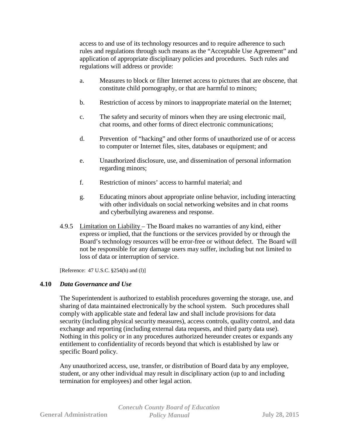access to and use of its technology resources and to require adherence to such rules and regulations through such means as the "Acceptable Use Agreement" and application of appropriate disciplinary policies and procedures. Such rules and regulations will address or provide:

- a. Measures to block or filter Internet access to pictures that are obscene, that constitute child pornography, or that are harmful to minors;
- b. Restriction of access by minors to inappropriate material on the Internet;
- c. The safety and security of minors when they are using electronic mail, chat rooms, and other forms of direct electronic communications;
- d. Prevention of "hacking" and other forms of unauthorized use of or access to computer or Internet files, sites, databases or equipment; and
- e. Unauthorized disclosure, use, and dissemination of personal information regarding minors;
- f. Restriction of minors' access to harmful material; and
- g. Educating minors about appropriate online behavior, including interacting with other individuals on social networking websites and in chat rooms and cyberbullying awareness and response.
- 4.9.5 Limitation on Liability The Board makes no warranties of any kind, either express or implied, that the functions or the services provided by or through the Board's technology resources will be error-free or without defect. The Board will not be responsible for any damage users may suffer, including but not limited to loss of data or interruption of service.

[Reference: 47 U.S.C. §254(h) and (l)]

# **4.10** *Data Governance and Use*

The Superintendent is authorized to establish procedures governing the storage, use, and sharing of data maintained electronically by the school system. Such procedures shall comply with applicable state and federal law and shall include provisions for data security (including physical security measures), access controls, quality control, and data exchange and reporting (including external data requests, and third party data use). Nothing in this policy or in any procedures authorized hereunder creates or expands any entitlement to confidentiality of records beyond that which is established by law or specific Board policy.

Any unauthorized access, use, transfer, or distribution of Board data by any employee, student, or any other individual may result in disciplinary action (up to and including termination for employees) and other legal action.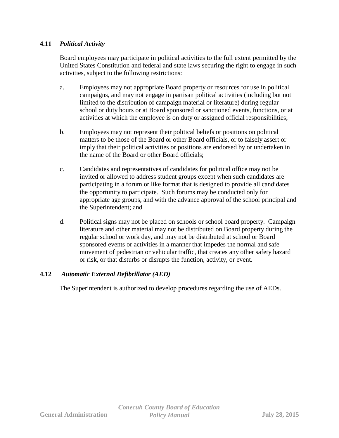# **4.11** *Political Activity*

Board employees may participate in political activities to the full extent permitted by the United States Constitution and federal and state laws securing the right to engage in such activities, subject to the following restrictions:

- a. Employees may not appropriate Board property or resources for use in political campaigns, and may not engage in partisan political activities (including but not limited to the distribution of campaign material or literature) during regular school or duty hours or at Board sponsored or sanctioned events, functions, or at activities at which the employee is on duty or assigned official responsibilities;
- b. Employees may not represent their political beliefs or positions on political matters to be those of the Board or other Board officials, or to falsely assert or imply that their political activities or positions are endorsed by or undertaken in the name of the Board or other Board officials;
- c. Candidates and representatives of candidates for political office may not be invited or allowed to address student groups except when such candidates are participating in a forum or like format that is designed to provide all candidates the opportunity to participate. Such forums may be conducted only for appropriate age groups, and with the advance approval of the school principal and the Superintendent; and
- d. Political signs may not be placed on schools or school board property. Campaign literature and other material may not be distributed on Board property during the regular school or work day, and may not be distributed at school or Board sponsored events or activities in a manner that impedes the normal and safe movement of pedestrian or vehicular traffic, that creates any other safety hazard or risk, or that disturbs or disrupts the function, activity, or event.

# **4.12** *Automatic External Defibrillator (AED)*

The Superintendent is authorized to develop procedures regarding the use of AEDs.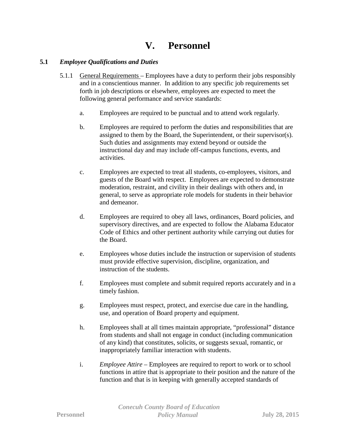# **V. Personnel**

#### **5.1** *Employee Qualifications and Duties*

- 5.1.1 General Requirements Employees have a duty to perform their jobs responsibly and in a conscientious manner. In addition to any specific job requirements set forth in job descriptions or elsewhere, employees are expected to meet the following general performance and service standards:
	- a. Employees are required to be punctual and to attend work regularly.
	- b. Employees are required to perform the duties and responsibilities that are assigned to them by the Board, the Superintendent, or their supervisor(s). Such duties and assignments may extend beyond or outside the instructional day and may include off-campus functions, events, and activities.
	- c. Employees are expected to treat all students, co-employees, visitors, and guests of the Board with respect. Employees are expected to demonstrate moderation, restraint, and civility in their dealings with others and, in general, to serve as appropriate role models for students in their behavior and demeanor.
	- d. Employees are required to obey all laws, ordinances, Board policies, and supervisory directives, and are expected to follow the Alabama Educator Code of Ethics and other pertinent authority while carrying out duties for the Board.
	- e. Employees whose duties include the instruction or supervision of students must provide effective supervision, discipline, organization, and instruction of the students.
	- f. Employees must complete and submit required reports accurately and in a timely fashion.
	- g. Employees must respect, protect, and exercise due care in the handling, use, and operation of Board property and equipment.
	- h. Employees shall at all times maintain appropriate, "professional" distance from students and shall not engage in conduct (including communication of any kind) that constitutes, solicits, or suggests sexual, romantic, or inappropriately familiar interaction with students.
	- i. *Employee Attire*  Employees are required to report to work or to school functions in attire that is appropriate to their position and the nature of the function and that is in keeping with generally accepted standards of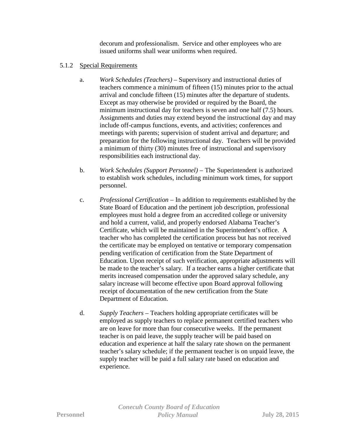decorum and professionalism. Service and other employees who are issued uniforms shall wear uniforms when required.

#### 5.1.2 Special Requirements

- a. *Work Schedules (Teachers)* Supervisory and instructional duties of teachers commence a minimum of fifteen (15) minutes prior to the actual arrival and conclude fifteen (15) minutes after the departure of students. Except as may otherwise be provided or required by the Board, the minimum instructional day for teachers is seven and one half (7.5) hours. Assignments and duties may extend beyond the instructional day and may include off-campus functions, events, and activities; conferences and meetings with parents; supervision of student arrival and departure; and preparation for the following instructional day. Teachers will be provided a minimum of thirty (30) minutes free of instructional and supervisory responsibilities each instructional day.
- b. *Work Schedules (Support Personnel)* The Superintendent is authorized to establish work schedules, including minimum work times, for support personnel.
- c. *Professional Certification* In addition to requirements established by the State Board of Education and the pertinent job description, professional employees must hold a degree from an accredited college or university and hold a current, valid, and properly endorsed Alabama Teacher's Certificate, which will be maintained in the Superintendent's office. A teacher who has completed the certification process but has not received the certificate may be employed on tentative or temporary compensation pending verification of certification from the State Department of Education. Upon receipt of such verification, appropriate adjustments will be made to the teacher's salary. If a teacher earns a higher certificate that merits increased compensation under the approved salary schedule, any salary increase will become effective upon Board approval following receipt of documentation of the new certification from the State Department of Education.
- d. *Supply Teachers* Teachers holding appropriate certificates will be employed as supply teachers to replace permanent certified teachers who are on leave for more than four consecutive weeks. If the permanent teacher is on paid leave, the supply teacher will be paid based on education and experience at half the salary rate shown on the permanent teacher's salary schedule; if the permanent teacher is on unpaid leave, the supply teacher will be paid a full salary rate based on education and experience.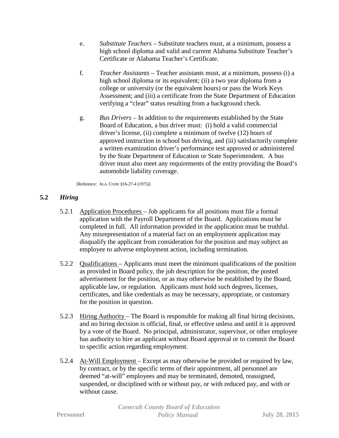- e. *Substitute Teachers* Substitute teachers must, at a minimum, possess a high school diploma and valid and current Alabama Substitute Teacher's Certificate or Alabama Teacher's Certificate.
- f. *Teacher Assistants*  Teacher assistants must, at a minimum, possess (i) a high school diploma or its equivalent; (ii) a two year diploma from a college or university (or the equivalent hours) or pass the Work Keys Assessment; and (iii) a certificate from the State Department of Education verifying a "clear" status resulting from a background check.
- g. *Bus Drivers* In addition to the requirements established by the State Board of Education, a bus driver must: (i) hold a valid commercial driver's license, (ii) complete a minimum of twelve (12) hours of approved instruction in school bus driving, and (iii) satisfactorily complete a written examination driver's performance test approved or administered by the State Department of Education or State Superintendent. A bus driver must also meet any requirements of the entity providing the Board's automobile liability coverage.

[Reference: ALA. CODE §16-27-4 (1975)]

# **5.2** *Hiring*

- 5.2.1 Application Procedures Job applicants for all positions must file a formal application with the Payroll Department of the Board. Applications must be completed in full. All information provided in the application must be truthful. Any misrepresentation of a material fact on an employment application may disqualify the applicant from consideration for the position and may subject an employee to adverse employment action, including termination.
- 5.2.2 Qualifications Applicants must meet the minimum qualifications of the position as provided in Board policy, the job description for the position, the posted advertisement for the position, or as may otherwise be established by the Board, applicable law, or regulation. Applicants must hold such degrees, licenses, certificates, and like credentials as may be necessary, appropriate, or customary for the position in question.
- 5.2.3 Hiring Authority The Board is responsible for making all final hiring decisions, and no hiring decision is official, final, or effective unless and until it is approved by a vote of the Board. No principal, administrator, supervisor, or other employee has authority to hire an applicant without Board approval or to commit the Board to specific action regarding employment.
- 5.2.4 At-Will Employment Except as may otherwise be provided or required by law, by contract, or by the specific terms of their appointment, all personnel are deemed "at-will" employees and may be terminated, demoted, reassigned, suspended, or disciplined with or without pay, or with reduced pay, and with or without cause.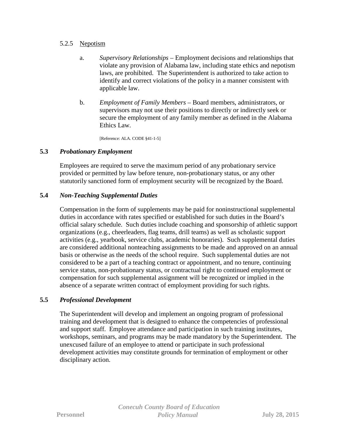## 5.2.5 Nepotism

- a. *Supervisory Relationships* Employment decisions and relationships that violate any provision of Alabama law, including state ethics and nepotism laws, are prohibited. The Superintendent is authorized to take action to identify and correct violations of the policy in a manner consistent with applicable law.
- b. *Employment of Family Members* Board members, administrators, or supervisors may not use their positions to directly or indirectly seek or secure the employment of any family member as defined in the Alabama Ethics Law.

[Reference: ALA. CODE §41-1-5]

# **5.3** *Probationary Employment*

Employees are required to serve the maximum period of any probationary service provided or permitted by law before tenure, non-probationary status, or any other statutorily sanctioned form of employment security will be recognized by the Board.

## **5.4** *Non-Teaching Supplemental Duties*

Compensation in the form of supplements may be paid for noninstructional supplemental duties in accordance with rates specified or established for such duties in the Board's official salary schedule. Such duties include coaching and sponsorship of athletic support organizations (e.g., cheerleaders, flag teams, drill teams) as well as scholastic support activities (e.g., yearbook, service clubs, academic honoraries). Such supplemental duties are considered additional nonteaching assignments to be made and approved on an annual basis or otherwise as the needs of the school require. Such supplemental duties are not considered to be a part of a teaching contract or appointment, and no tenure, continuing service status, non-probationary status, or contractual right to continued employment or compensation for such supplemental assignment will be recognized or implied in the absence of a separate written contract of employment providing for such rights.

## **5.5** *Professional Development*

The Superintendent will develop and implement an ongoing program of professional training and development that is designed to enhance the competencies of professional and support staff. Employee attendance and participation in such training institutes, workshops, seminars, and programs may be made mandatory by the Superintendent. The unexcused failure of an employee to attend or participate in such professional development activities may constitute grounds for termination of employment or other disciplinary action.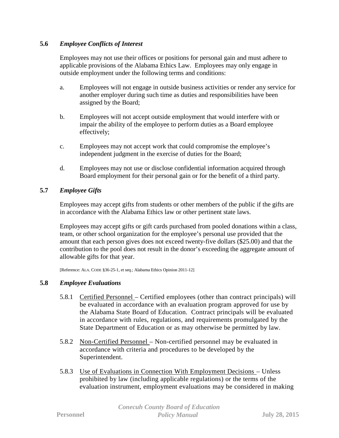# **5.6** *Employee Conflicts of Interest*

Employees may not use their offices or positions for personal gain and must adhere to applicable provisions of the Alabama Ethics Law. Employees may only engage in outside employment under the following terms and conditions:

- a. Employees will not engage in outside business activities or render any service for another employer during such time as duties and responsibilities have been assigned by the Board;
- b. Employees will not accept outside employment that would interfere with or impair the ability of the employee to perform duties as a Board employee effectively;
- c. Employees may not accept work that could compromise the employee's independent judgment in the exercise of duties for the Board;
- d. Employees may not use or disclose confidential information acquired through Board employment for their personal gain or for the benefit of a third party.

# **5.7** *Employee Gifts*

Employees may accept gifts from students or other members of the public if the gifts are in accordance with the Alabama Ethics law or other pertinent state laws.

Employees may accept gifts or gift cards purchased from pooled donations within a class, team, or other school organization for the employee's personal use provided that the amount that each person gives does not exceed twenty-five dollars (\$25.00) and that the contribution to the pool does not result in the donor's exceeding the aggregate amount of allowable gifts for that year.

[Reference: ALA. CODE §36-25-1, et seq.; Alabama Ethics Opinion 2011-12]

## **5.8** *Employee Evaluations*

- 5.8.1 Certified Personnel Certified employees (other than contract principals) will be evaluated in accordance with an evaluation program approved for use by the Alabama State Board of Education. Contract principals will be evaluated in accordance with rules, regulations, and requirements promulgated by the State Department of Education or as may otherwise be permitted by law.
- 5.8.2 Non-Certified Personnel Non-certified personnel may be evaluated in accordance with criteria and procedures to be developed by the Superintendent.
- 5.8.3 Use of Evaluations in Connection With Employment Decisions Unless prohibited by law (including applicable regulations) or the terms of the evaluation instrument, employment evaluations may be considered in making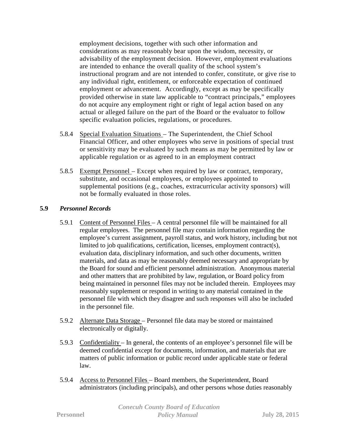employment decisions, together with such other information and considerations as may reasonably bear upon the wisdom, necessity, or advisability of the employment decision. However, employment evaluations are intended to enhance the overall quality of the school system's instructional program and are not intended to confer, constitute, or give rise to any individual right, entitlement, or enforceable expectation of continued employment or advancement. Accordingly, except as may be specifically provided otherwise in state law applicable to "contract principals," employees do not acquire any employment right or right of legal action based on any actual or alleged failure on the part of the Board or the evaluator to follow specific evaluation policies, regulations, or procedures.

- 5.8.4 Special Evaluation Situations The Superintendent, the Chief School Financial Officer, and other employees who serve in positions of special trust or sensitivity may be evaluated by such means as may be permitted by law or applicable regulation or as agreed to in an employment contract
- 5.8.5 Exempt Personnel Except when required by law or contract, temporary, substitute, and occasional employees, or employees appointed to supplemental positions (e.g., coaches, extracurricular activity sponsors) will not be formally evaluated in those roles.

# **5.9** *Personnel Records*

- 5.9.1 Content of Personnel Files A central personnel file will be maintained for all regular employees. The personnel file may contain information regarding the employee's current assignment, payroll status, and work history, including but not limited to job qualifications, certification, licenses, employment contract(s), evaluation data, disciplinary information, and such other documents, written materials, and data as may be reasonably deemed necessary and appropriate by the Board for sound and efficient personnel administration. Anonymous material and other matters that are prohibited by law, regulation, or Board policy from being maintained in personnel files may not be included therein. Employees may reasonably supplement or respond in writing to any material contained in the personnel file with which they disagree and such responses will also be included in the personnel file.
- 5.9.2 Alternate Data Storage Personnel file data may be stored or maintained electronically or digitally.
- 5.9.3 Confidentiality In general, the contents of an employee's personnel file will be deemed confidential except for documents, information, and materials that are matters of public information or public record under applicable state or federal law.
- 5.9.4 Access to Personnel Files Board members, the Superintendent, Board administrators (including principals), and other persons whose duties reasonably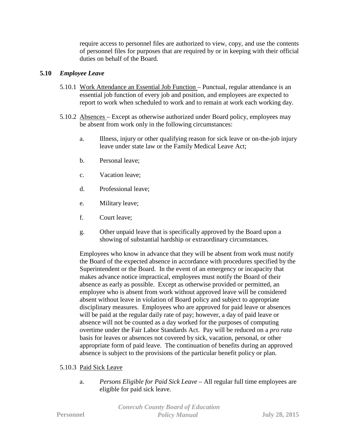require access to personnel files are authorized to view, copy, and use the contents of personnel files for purposes that are required by or in keeping with their official duties on behalf of the Board.

# **5.10** *Employee Leave*

- 5.10.1 Work Attendance an Essential Job Function Punctual, regular attendance is an essential job function of every job and position, and employees are expected to report to work when scheduled to work and to remain at work each working day.
- 5.10.2 Absences Except as otherwise authorized under Board policy, employees may be absent from work only in the following circumstances:
	- a. Illness, injury or other qualifying reason for sick leave or on-the-job injury leave under state law or the Family Medical Leave Act;
	- b. Personal leave;
	- c. Vacation leave;
	- d. Professional leave;
	- e. Military leave;
	- f. Court leave;
	- g. Other unpaid leave that is specifically approved by the Board upon a showing of substantial hardship or extraordinary circumstances.

Employees who know in advance that they will be absent from work must notify the Board of the expected absence in accordance with procedures specified by the Superintendent or the Board. In the event of an emergency or incapacity that makes advance notice impractical, employees must notify the Board of their absence as early as possible. Except as otherwise provided or permitted, an employee who is absent from work without approved leave will be considered absent without leave in violation of Board policy and subject to appropriate disciplinary measures. Employees who are approved for paid leave or absences will be paid at the regular daily rate of pay; however, a day of paid leave or absence will not be counted as a day worked for the purposes of computing overtime under the Fair Labor Standards Act. Pay will be reduced on a *pro rata* basis for leaves or absences not covered by sick, vacation, personal, or other appropriate form of paid leave. The continuation of benefits during an approved absence is subject to the provisions of the particular benefit policy or plan.

# 5.10.3 Paid Sick Leave

a. *Persons Eligible for Paid Sick Leave* – All regular full time employees are eligible for paid sick leave.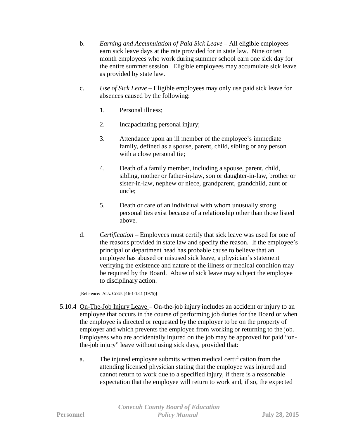- b. *Earning and Accumulation of Paid Sick Leave* All eligible employees earn sick leave days at the rate provided for in state law. Nine or ten month employees who work during summer school earn one sick day for the entire summer session. Eligible employees may accumulate sick leave as provided by state law.
- c. *Use of Sick Leave* Eligible employees may only use paid sick leave for absences caused by the following:
	- 1. Personal illness;
	- 2. Incapacitating personal injury;
	- 3. Attendance upon an ill member of the employee's immediate family, defined as a spouse, parent, child, sibling or any person with a close personal tie;
	- 4. Death of a family member, including a spouse, parent, child, sibling, mother or father-in-law, son or daughter-in-law, brother or sister-in-law, nephew or niece, grandparent, grandchild, aunt or uncle;
	- 5. Death or care of an individual with whom unusually strong personal ties exist because of a relationship other than those listed above.
- d. *Certification* Employees must certify that sick leave was used for one of the reasons provided in state law and specify the reason. If the employee's principal or department head has probable cause to believe that an employee has abused or misused sick leave, a physician's statement verifying the existence and nature of the illness or medical condition may be required by the Board. Abuse of sick leave may subject the employee to disciplinary action.

[Reference: ALA. CODE §16-1-18.1 (1975)]

- 5.10.4 On-The-Job Injury Leave On-the-job injury includes an accident or injury to an employee that occurs in the course of performing job duties for the Board or when the employee is directed or requested by the employer to be on the property of employer and which prevents the employee from working or returning to the job. Employees who are accidentally injured on the job may be approved for paid "onthe-job injury" leave without using sick days, provided that:
	- a. The injured employee submits written medical certification from the attending licensed physician stating that the employee was injured and cannot return to work due to a specified injury, if there is a reasonable expectation that the employee will return to work and, if so, the expected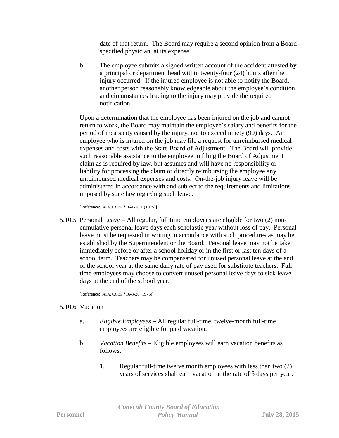date of that return. The Board may require a second opinion from a Board specified physician, at its expense.

b. The employee submits a signed written account of the accident attested by a principal or department head within twenty-four (24) hours after the injury occurred. If the injured employee is not able to notify the Board, another person reasonably knowledgeable about the employee's condition and circumstances leading to the injury may provide the required notification.

Upon a determination that the employee has been injured on the job and cannot return to work, the Board may maintain the employee's salary and benefits for the period of incapacity caused by the injury, not to exceed ninety (90) days. An employee who is injured on the job may file a request for unreimbursed medical expenses and costs with the State Board of Adjustment. The Board will provide such reasonable assistance to the employee in filing the Board of Adjustment claim as is required by law, but assumes and will have no responsibility or liability for processing the claim or directly reimbursing the employee any unreimbursed medical expenses and costs. On-the-job injury leave will be administered in accordance with and subject to the requirements and limitations imposed by state law regarding such leave.

[Reference: ALA. CODE §16-1-18.1 (1975)]

5.10.5 Personal Leave – All regular, full time employees are eligible for two (2) noncumulative personal leave days each scholastic year without loss of pay. Personal leave must be requested in writing in accordance with such procedures as may be established by the Superintendent or the Board. Personal leave may not be taken immediately before or after a school holiday or in the first or last ten days of a school term. Teachers may be compensated for unused personal leave at the end of the school year at the same daily rate of pay used for substitute teachers. Full time employees may choose to convert unused personal leave days to sick leave days at the end of the school year.

[Reference: ALA. CODE §16-8-26 (1975)]

## 5.10.6 Vacation

- a. *Eligible Employees* All regular full-time, twelve-month full-time employees are eligible for paid vacation.
- b. *Vacation Benefits* Eligible employees will earn vacation benefits as follows:
	- 1. Regular full-time twelve month employees with less than two (2) years of services shall earn vacation at the rate of 5 days per year.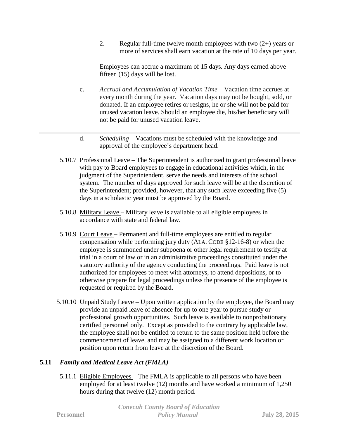2. Regular full-time twelve month employees with two  $(2+)$  years or more of services shall earn vacation at the rate of 10 days per year.

Employees can accrue a maximum of 15 days. Any days earned above fifteen (15) days will be lost.

- c. *Accrual and Accumulation of Vacation Time* Vacation time accrues at every month during the year. Vacation days may not be bought, sold, or donated. If an employee retires or resigns, he or she will not be paid for unused vacation leave. Should an employee die, his/her beneficiary will not be paid for unused vacation leave.
- d. *Scheduling* Vacations must be scheduled with the knowledge and approval of the employee's department head.
- 5.10.7 Professional Leave The Superintendent is authorized to grant professional leave with pay to Board employees to engage in educational activities which, in the judgment of the Superintendent, serve the needs and interests of the school system. The number of days approved for such leave will be at the discretion of the Superintendent; provided, however, that any such leave exceeding five (5) days in a scholastic year must be approved by the Board.
- 5.10.8 Military Leave Military leave is available to all eligible employees in accordance with state and federal law.
- 5.10.9 Court Leave Permanent and full-time employees are entitled to regular compensation while performing jury duty (ALA. CODE §12-16-8) or when the employee is summoned under subpoena or other legal requirement to testify at trial in a court of law or in an administrative proceedings constituted under the statutory authority of the agency conducting the proceedings. Paid leave is not authorized for employees to meet with attorneys, to attend depositions, or to otherwise prepare for legal proceedings unless the presence of the employee is requested or required by the Board.
- 5.10.10 Unpaid Study Leave Upon written application by the employee, the Board may provide an unpaid leave of absence for up to one year to pursue study or professional growth opportunities. Such leave is available to nonprobationary certified personnel only. Except as provided to the contrary by applicable law, the employee shall not be entitled to return to the same position held before the commencement of leave, and may be assigned to a different work location or position upon return from leave at the discretion of the Board.

# **5.11** *Family and Medical Leave Act (FMLA)*

5.11.1 Eligible Employees – The FMLA is applicable to all persons who have been employed for at least twelve (12) months and have worked a minimum of 1,250 hours during that twelve (12) month period.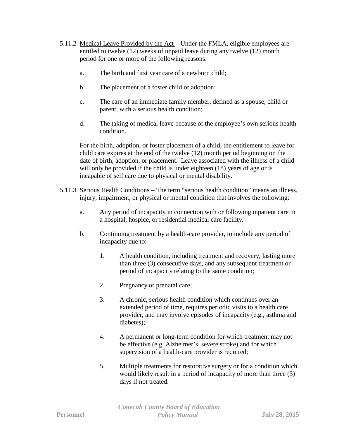- 5.11.2 Medical Leave Provided by the Act Under the FMLA, eligible employees are entitled to twelve (12) weeks of unpaid leave during any twelve (12) month period for one or more of the following reasons:
	- a. The birth and first year care of a newborn child;
	- b. The placement of a foster child or adoption;
	- c. The care of an immediate family member, defined as a spouse, child or parent, with a serious health condition;
	- d. The taking of medical leave because of the employee's own serious health condition.

For the birth, adoption, or foster placement of a child, the entitlement to leave for child care expires at the end of the twelve (12) month period beginning on the date of birth, adoption, or placement. Leave associated with the illness of a child will only be provided if the child is under eighteen (18) years of age or is incapable of self care due to physical or mental disability.

- 5.11.3 Serious Health Conditions The term "serious health condition" means an illness, injury, impairment, or physical or mental condition that involves the following:
	- a. Any period of incapacity in connection with or following inpatient care in a hospital, hospice, or residential medical care facility.
	- b. Continuing treatment by a health-care provider, to include any period of incapacity due to:
		- 1. A health condition, including treatment and recovery, lasting more than three (3) consecutive days, and any subsequent treatment or period of incapacity relating to the same condition;
		- 2. Pregnancy or prenatal care;
		- 3. A chronic, serious health condition which continues over an extended period of time, requires periodic visits to a health care provider, and may involve episodes of incapacity (e.g., asthma and diabetes);
		- 4. A permanent or long-term condition for which treatment may not be effective (e.g. Alzheimer's, severe stroke) and for which supervision of a health-care provider is required;
		- 5. Multiple treatments for restorative surgery or for a condition which would likely result in a period of incapacity of more than three (3) days if not treated.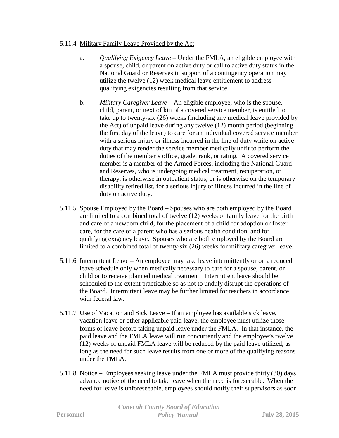# 5.11.4 Military Family Leave Provided by the Act

- a. *Qualifying Exigency Leave* Under the FMLA, an eligible employee with a spouse, child, or parent on active duty or call to active duty status in the National Guard or Reserves in support of a contingency operation may utilize the twelve (12) week medical leave entitlement to address qualifying exigencies resulting from that service.
- b. *Military Caregiver Leave* An eligible employee, who is the spouse, child, parent, or next of kin of a covered service member, is entitled to take up to twenty-six (26) weeks (including any medical leave provided by the Act) of unpaid leave during any twelve (12) month period (beginning the first day of the leave) to care for an individual covered service member with a serious injury or illness incurred in the line of duty while on active duty that may render the service member medically unfit to perform the duties of the member's office, grade, rank, or rating. A covered service member is a member of the Armed Forces, including the National Guard and Reserves, who is undergoing medical treatment, recuperation, or therapy, is otherwise in outpatient status, or is otherwise on the temporary disability retired list, for a serious injury or illness incurred in the line of duty on active duty.
- 5.11.5 Spouse Employed by the Board Spouses who are both employed by the Board are limited to a combined total of twelve (12) weeks of family leave for the birth and care of a newborn child, for the placement of a child for adoption or foster care, for the care of a parent who has a serious health condition, and for qualifying exigency leave. Spouses who are both employed by the Board are limited to a combined total of twenty-six (26) weeks for military caregiver leave.
- 5.11.6 Intermittent Leave An employee may take leave intermittently or on a reduced leave schedule only when medically necessary to care for a spouse, parent, or child or to receive planned medical treatment. Intermittent leave should be scheduled to the extent practicable so as not to unduly disrupt the operations of the Board. Intermittent leave may be further limited for teachers in accordance with federal law.
- 5.11.7 Use of Vacation and Sick Leave If an employee has available sick leave, vacation leave or other applicable paid leave, the employee must utilize those forms of leave before taking unpaid leave under the FMLA. In that instance, the paid leave and the FMLA leave will run concurrently and the employee's twelve (12) weeks of unpaid FMLA leave will be reduced by the paid leave utilized, as long as the need for such leave results from one or more of the qualifying reasons under the FMLA.
- 5.11.8 Notice Employees seeking leave under the FMLA must provide thirty (30) days advance notice of the need to take leave when the need is foreseeable. When the need for leave is unforeseeable, employees should notify their supervisors as soon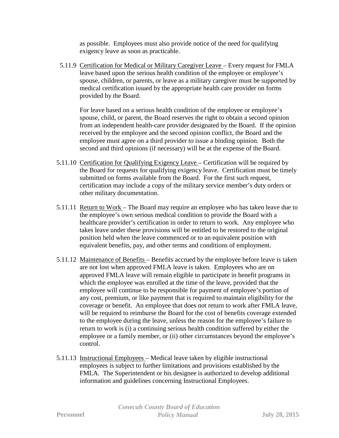as possible. Employees must also provide notice of the need for qualifying exigency leave as soon as practicable.

5.11.9 Certification for Medical or Military Caregiver Leave – Every request for FMLA leave based upon the serious health condition of the employee or employee's spouse, children, or parents, or leave as a military caregiver must be supported by medical certification issued by the appropriate health care provider on forms provided by the Board.

For leave based on a serious health condition of the employee or employee's spouse, child, or parent, the Board reserves the right to obtain a second opinion from an independent health-care provider designated by the Board. If the opinion received by the employee and the second opinion conflict, the Board and the employee must agree on a third provider to issue a binding opinion. Both the second and third opinions (if necessary) will be at the expense of the Board.

- 5.11.10 Certification for Qualifying Exigency Leave Certification will be required by the Board for requests for qualifying exigency leave. Certification must be timely submitted on forms available from the Board. For the first such request, certification may include a copy of the military service member's duty orders or other military documentation.
- 5.11.11 Return to Work The Board may require an employee who has taken leave due to the employee's own serious medical condition to provide the Board with a healthcare provider's certification in order to return to work. Any employee who takes leave under these provisions will be entitled to be restored to the original position held when the leave commenced or to an equivalent position with equivalent benefits, pay, and other terms and conditions of employment.
- 5.11.12 Maintenance of Benefits Benefits accrued by the employee before leave is taken are not lost when approved FMLA leave is taken. Employees who are on approved FMLA leave will remain eligible to participate in benefit programs in which the employee was enrolled at the time of the leave, provided that the employee will continue to be responsible for payment of employee's portion of any cost, premium, or like payment that is required to maintain eligibility for the coverage or benefit. An employee that does not return to work after FMLA leave, will be required to reimburse the Board for the cost of benefits coverage extended to the employee during the leave, unless the reason for the employee's failure to return to work is (i) a continuing serious health condition suffered by either the employee or a family member, or (ii) other circumstances beyond the employee's control.
- 5.11.13 Instructional Employees Medical leave taken by eligible instructional employees is subject to further limitations and provisions established by the FMLA. The Superintendent or his designee is authorized to develop additional information and guidelines concerning Instructional Employees.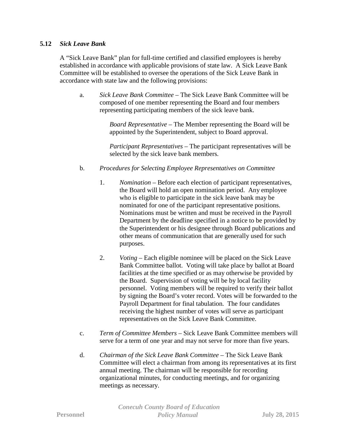## **5.12** *Sick Leave Bank*

A "Sick Leave Bank" plan for full-time certified and classified employees is hereby established in accordance with applicable provisions of state law. A Sick Leave Bank Committee will be established to oversee the operations of the Sick Leave Bank in accordance with state law and the following provisions:

a. *Sick Leave Bank Committee* – The Sick Leave Bank Committee will be composed of one member representing the Board and four members representing participating members of the sick leave bank.

> *Board Representative* – The Member representing the Board will be appointed by the Superintendent, subject to Board approval.

> *Participant Representatives* – The participant representatives will be selected by the sick leave bank members.

# b. *Procedures for Selecting Employee Representatives on Committee*

- 1. *Nomination*  Before each election of participant representatives, the Board will hold an open nomination period. Any employee who is eligible to participate in the sick leave bank may be nominated for one of the participant representative positions. Nominations must be written and must be received in the Payroll Department by the deadline specified in a notice to be provided by the Superintendent or his designee through Board publications and other means of communication that are generally used for such purposes.
- 2. *Voting Each eligible nominee will be placed on the Sick Leave* Bank Committee ballot. Voting will take place by ballot at Board facilities at the time specified or as may otherwise be provided by the Board. Supervision of voting will be by local facility personnel. Voting members will be required to verify their ballot by signing the Board's voter record. Votes will be forwarded to the Payroll Department for final tabulation. The four candidates receiving the highest number of votes will serve as participant representatives on the Sick Leave Bank Committee.
- c. *Term of Committee Members* Sick Leave Bank Committee members will serve for a term of one year and may not serve for more than five years.
- d. *Chairman of the Sick Leave Bank Committee* The Sick Leave Bank Committee will elect a chairman from among its representatives at its first annual meeting. The chairman will be responsible for recording organizational minutes, for conducting meetings, and for organizing meetings as necessary.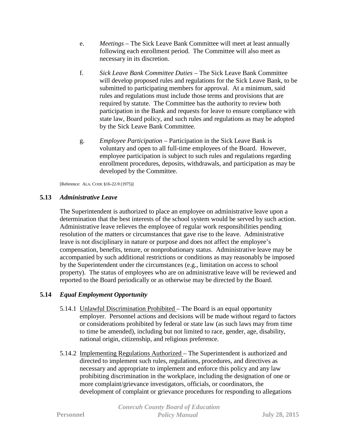- e. *Meetings* The Sick Leave Bank Committee will meet at least annually following each enrollment period. The Committee will also meet as necessary in its discretion.
- f. *Sick Leave Bank Committee Duties* The Sick Leave Bank Committee will develop proposed rules and regulations for the Sick Leave Bank, to be submitted to participating members for approval. At a minimum, said rules and regulations must include those terms and provisions that are required by statute. The Committee has the authority to review both participation in the Bank and requests for leave to ensure compliance with state law, Board policy, and such rules and regulations as may be adopted by the Sick Leave Bank Committee.
- g. *Employee Participation* Participation in the Sick Leave Bank is voluntary and open to all full-time employees of the Board. However, employee participation is subject to such rules and regulations regarding enrollment procedures, deposits, withdrawals, and participation as may be developed by the Committee.

[Reference: ALA. CODE §16-22-9 (1975)]

# **5.13** *Administrative Leave*

The Superintendent is authorized to place an employee on administrative leave upon a determination that the best interests of the school system would be served by such action. Administrative leave relieves the employee of regular work responsibilities pending resolution of the matters or circumstances that gave rise to the leave. Administrative leave is not disciplinary in nature or purpose and does not affect the employee's compensation, benefits, tenure, or nonprobationary status. Administrative leave may be accompanied by such additional restrictions or conditions as may reasonably be imposed by the Superintendent under the circumstances (e.g., limitation on access to school property). The status of employees who are on administrative leave will be reviewed and reported to the Board periodically or as otherwise may be directed by the Board.

# **5.14** *Equal Employment Opportunity*

- 5.14.1 Unlawful Discrimination Prohibited The Board is an equal opportunity employer. Personnel actions and decisions will be made without regard to factors or considerations prohibited by federal or state law (as such laws may from time to time be amended), including but not limited to race, gender, age, disability, national origin, citizenship, and religious preference.
- 5.14.2 Implementing Regulations Authorized The Superintendent is authorized and directed to implement such rules, regulations, procedures, and directives as necessary and appropriate to implement and enforce this policy and any law prohibiting discrimination in the workplace, including the designation of one or more complaint/grievance investigators, officials, or coordinators, the development of complaint or grievance procedures for responding to allegations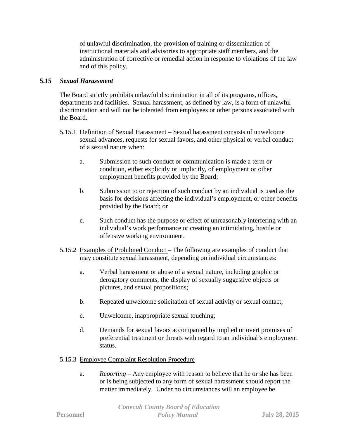of unlawful discrimination, the provision of training or dissemination of instructional materials and advisories to appropriate staff members, and the administration of corrective or remedial action in response to violations of the law and of this policy.

# **5.15** *Sexual Harassment*

The Board strictly prohibits unlawful discrimination in all of its programs, offices, departments and facilities. Sexual harassment, as defined by law, is a form of unlawful discrimination and will not be tolerated from employees or other persons associated with the Board.

- 5.15.1 Definition of Sexual Harassment Sexual harassment consists of unwelcome sexual advances, requests for sexual favors, and other physical or verbal conduct of a sexual nature when:
	- a. Submission to such conduct or communication is made a term or condition, either explicitly or implicitly, of employment or other employment benefits provided by the Board;
	- b. Submission to or rejection of such conduct by an individual is used as the basis for decisions affecting the individual's employment, or other benefits provided by the Board; or
	- c. Such conduct has the purpose or effect of unreasonably interfering with an individual's work performance or creating an intimidating, hostile or offensive working environment.
- 5.15.2 Examples of Prohibited Conduct The following are examples of conduct that may constitute sexual harassment, depending on individual circumstances:
	- a. Verbal harassment or abuse of a sexual nature, including graphic or derogatory comments, the display of sexually suggestive objects or pictures, and sexual propositions;
	- b. Repeated unwelcome solicitation of sexual activity or sexual contact;
	- c. Unwelcome, inappropriate sexual touching;
	- d. Demands for sexual favors accompanied by implied or overt promises of preferential treatment or threats with regard to an individual's employment status.

## 5.15.3 Employee Complaint Resolution Procedure

a. *Reporting* – Any employee with reason to believe that he or she has been or is being subjected to any form of sexual harassment should report the matter immediately. Under no circumstances will an employee be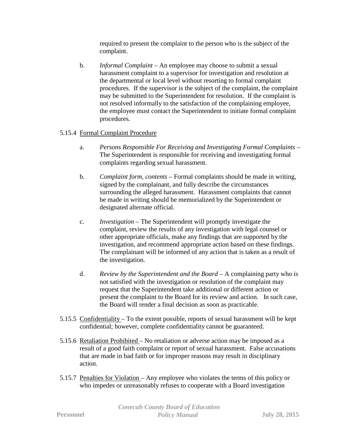required to present the complaint to the person who is the subject of the complaint.

b. *Informal Complaint* – An employee may choose to submit a sexual harassment complaint to a supervisor for investigation and resolution at the departmental or local level without resorting to formal complaint procedures. If the supervisor is the subject of the complaint, the complaint may be submitted to the Superintendent for resolution. If the complaint is not resolved informally to the satisfaction of the complaining employee, the employee must contact the Superintendent to initiate formal complaint procedures.

# 5.15.4 Formal Complaint Procedure

- a. *Persons Responsible For Receiving and Investigating Formal Complaints* The Superintendent is responsible for receiving and investigating formal complaints regarding sexual harassment.
- b. *Complaint form, contents* Formal complaints should be made in writing, signed by the complainant, and fully describe the circumstances surrounding the alleged harassment. Harassment complaints that cannot be made in writing should be memorialized by the Superintendent or designated alternate official.
- c. *Investigation* The Superintendent will promptly investigate the complaint, review the results of any investigation with legal counsel or other appropriate officials, make any findings that are supported by the investigation, and recommend appropriate action based on these findings. The complainant will be informed of any action that is taken as a result of the investigation.
- d. *Review by the Superintendent and the Board* A complaining party who is not satisfied with the investigation or resolution of the complaint may request that the Superintendent take additional or different action or present the complaint to the Board for its review and action. In such case, the Board will render a final decision as soon as practicable.
- 5.15.5 Confidentiality To the extent possible, reports of sexual harassment will be kept confidential; however, complete confidentiality cannot be guaranteed.
- 5.15.6 Retaliation Prohibited No retaliation or adverse action may be imposed as a result of a good faith complaint or report of sexual harassment. False accusations that are made in bad faith or for improper reasons may result in disciplinary action.
- 5.15.7 Penalties for Violation Any employee who violates the terms of this policy or who impedes or unreasonably refuses to cooperate with a Board investigation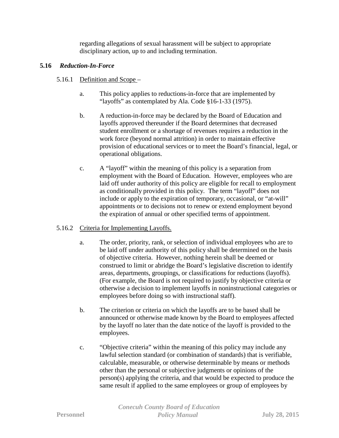regarding allegations of sexual harassment will be subject to appropriate disciplinary action, up to and including termination.

# **5.16** *Reduction-In-Force*

- 5.16.1 Definition and Scope
	- a. This policy applies to reductions-in-force that are implemented by "layoffs" as contemplated by Ala. Code §16-1-33 (1975).
	- b. A reduction-in-force may be declared by the Board of Education and layoffs approved thereunder if the Board determines that decreased student enrollment or a shortage of revenues requires a reduction in the work force (beyond normal attrition) in order to maintain effective provision of educational services or to meet the Board's financial, legal, or operational obligations.
	- c. A "layoff" within the meaning of this policy is a separation from employment with the Board of Education. However, employees who are laid off under authority of this policy are eligible for recall to employment as conditionally provided in this policy. The term "layoff" does not include or apply to the expiration of temporary, occasional, or "at-will" appointments or to decisions not to renew or extend employment beyond the expiration of annual or other specified terms of appointment.

# 5.16.2 Criteria for Implementing Layoffs.

- a. The order, priority, rank, or selection of individual employees who are to be laid off under authority of this policy shall be determined on the basis of objective criteria. However, nothing herein shall be deemed or construed to limit or abridge the Board's legislative discretion to identify areas, departments, groupings, or classifications for reductions (layoffs). (For example, the Board is not required to justify by objective criteria or otherwise a decision to implement layoffs in noninstructional categories or employees before doing so with instructional staff).
- b. The criterion or criteria on which the layoffs are to be based shall be announced or otherwise made known by the Board to employees affected by the layoff no later than the date notice of the layoff is provided to the employees.
- c. "Objective criteria" within the meaning of this policy may include any lawful selection standard (or combination of standards) that is verifiable, calculable, measurable, or otherwise determinable by means or methods other than the personal or subjective judgments or opinions of the person(s) applying the criteria, and that would be expected to produce the same result if applied to the same employees or group of employees by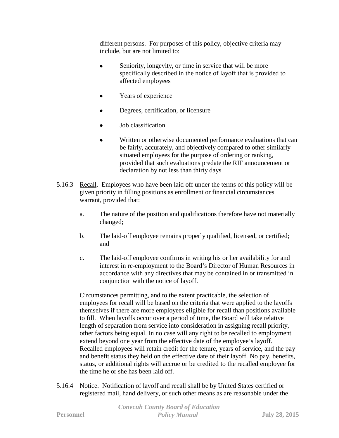different persons. For purposes of this policy, objective criteria may include, but are not limited to:

- Seniority, longevity, or time in service that will be more specifically described in the notice of layoff that is provided to affected employees
- Years of experience
- Degrees, certification, or licensure
- Job classification
- Written or otherwise documented performance evaluations that can be fairly, accurately, and objectively compared to other similarly situated employees for the purpose of ordering or ranking, provided that such evaluations predate the RIF announcement or declaration by not less than thirty days
- 5.16.3 Recall. Employees who have been laid off under the terms of this policy will be given priority in filling positions as enrollment or financial circumstances warrant, provided that:
	- a. The nature of the position and qualifications therefore have not materially changed;
	- b. The laid-off employee remains properly qualified, licensed, or certified; and
	- c. The laid-off employee confirms in writing his or her availability for and interest in re-employment to the Board's Director of Human Resources in accordance with any directives that may be contained in or transmitted in conjunction with the notice of layoff.

Circumstances permitting, and to the extent practicable, the selection of employees for recall will be based on the criteria that were applied to the layoffs themselves if there are more employees eligible for recall than positions available to fill. When layoffs occur over a period of time, the Board will take relative length of separation from service into consideration in assigning recall priority, other factors being equal. In no case will any right to be recalled to employment extend beyond one year from the effective date of the employee's layoff. Recalled employees will retain credit for the tenure, years of service, and the pay and benefit status they held on the effective date of their layoff. No pay, benefits, status, or additional rights will accrue or be credited to the recalled employee for the time he or she has been laid off.

5.16.4 Notice. Notification of layoff and recall shall be by United States certified or registered mail, hand delivery, or such other means as are reasonable under the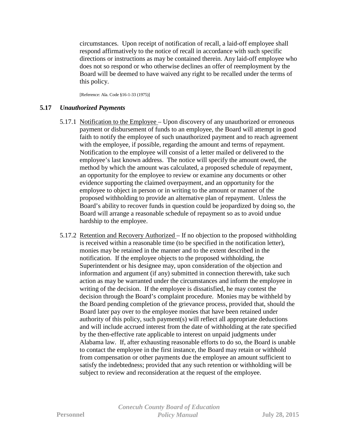circumstances. Upon receipt of notification of recall, a laid-off employee shall respond affirmatively to the notice of recall in accordance with such specific directions or instructions as may be contained therein. Any laid-off employee who does not so respond or who otherwise declines an offer of reemployment by the Board will be deemed to have waived any right to be recalled under the terms of this policy.

[Reference: Ala. Code §16-1-33 (1975)]

# **5.17** *Unauthorized Payments*

- 5.17.1 Notification to the Employee Upon discovery of any unauthorized or erroneous payment or disbursement of funds to an employee, the Board will attempt in good faith to notify the employee of such unauthorized payment and to reach agreement with the employee, if possible, regarding the amount and terms of repayment. Notification to the employee will consist of a letter mailed or delivered to the employee's last known address. The notice will specify the amount owed, the method by which the amount was calculated, a proposed schedule of repayment, an opportunity for the employee to review or examine any documents or other evidence supporting the claimed overpayment, and an opportunity for the employee to object in person or in writing to the amount or manner of the proposed withholding to provide an alternative plan of repayment. Unless the Board's ability to recover funds in question could be jeopardized by doing so, the Board will arrange a reasonable schedule of repayment so as to avoid undue hardship to the employee.
- 5.17.2 Retention and Recovery Authorized If no objection to the proposed withholding is received within a reasonable time (to be specified in the notification letter), monies may be retained in the manner and to the extent described in the notification. If the employee objects to the proposed withholding, the Superintendent or his designee may, upon consideration of the objection and information and argument (if any) submitted in connection therewith, take such action as may be warranted under the circumstances and inform the employee in writing of the decision. If the employee is dissatisfied, he may contest the decision through the Board's complaint procedure. Monies may be withheld by the Board pending completion of the grievance process, provided that, should the Board later pay over to the employee monies that have been retained under authority of this policy, such payment(s) will reflect all appropriate deductions and will include accrued interest from the date of withholding at the rate specified by the then-effective rate applicable to interest on unpaid judgments under Alabama law. If, after exhausting reasonable efforts to do so, the Board is unable to contact the employee in the first instance, the Board may retain or withhold from compensation or other payments due the employee an amount sufficient to satisfy the indebtedness; provided that any such retention or withholding will be subject to review and reconsideration at the request of the employee.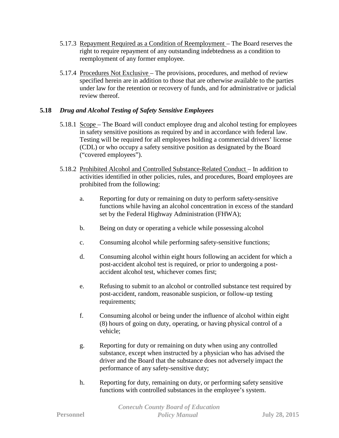- 5.17.3 Repayment Required as a Condition of Reemployment The Board reserves the right to require repayment of any outstanding indebtedness as a condition to reemployment of any former employee.
- 5.17.4 Procedures Not Exclusive The provisions, procedures, and method of review specified herein are in addition to those that are otherwise available to the parties under law for the retention or recovery of funds, and for administrative or judicial review thereof.

# **5.18** *Drug and Alcohol Testing of Safety Sensitive Employees*

- 5.18.1 Scope The Board will conduct employee drug and alcohol testing for employees in safety sensitive positions as required by and in accordance with federal law. Testing will be required for all employees holding a commercial drivers' license (CDL) or who occupy a safety sensitive position as designated by the Board ("covered employees").
- 5.18.2 Prohibited Alcohol and Controlled Substance-Related Conduct In addition to activities identified in other policies, rules, and procedures, Board employees are prohibited from the following:
	- a. Reporting for duty or remaining on duty to perform safety-sensitive functions while having an alcohol concentration in excess of the standard set by the Federal Highway Administration (FHWA);
	- b. Being on duty or operating a vehicle while possessing alcohol
	- c. Consuming alcohol while performing safety-sensitive functions;
	- d. Consuming alcohol within eight hours following an accident for which a post-accident alcohol test is required, or prior to undergoing a postaccident alcohol test, whichever comes first;
	- e. Refusing to submit to an alcohol or controlled substance test required by post-accident, random, reasonable suspicion, or follow-up testing requirements;
	- f. Consuming alcohol or being under the influence of alcohol within eight (8) hours of going on duty, operating, or having physical control of a vehicle;
	- g. Reporting for duty or remaining on duty when using any controlled substance, except when instructed by a physician who has advised the driver and the Board that the substance does not adversely impact the performance of any safety-sensitive duty;
	- h. Reporting for duty, remaining on duty, or performing safety sensitive functions with controlled substances in the employee's system.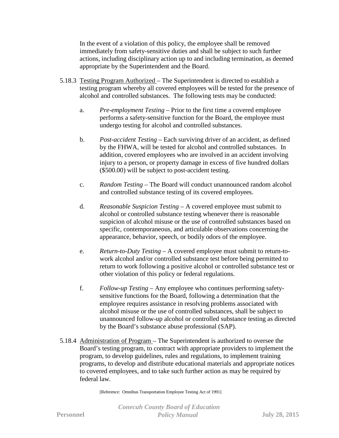In the event of a violation of this policy, the employee shall be removed immediately from safety-sensitive duties and shall be subject to such further actions, including disciplinary action up to and including termination, as deemed appropriate by the Superintendent and the Board.

- 5.18.3 Testing Program Authorized The Superintendent is directed to establish a testing program whereby all covered employees will be tested for the presence of alcohol and controlled substances. The following tests may be conducted:
	- a. *Pre-employment Testing* Prior to the first time a covered employee performs a safety-sensitive function for the Board, the employee must undergo testing for alcohol and controlled substances.
	- b. *Post-accident Testing* Each surviving driver of an accident, as defined by the FHWA, will be tested for alcohol and controlled substances. In addition, covered employees who are involved in an accident involving injury to a person, or property damage in excess of five hundred dollars (\$500.00) will be subject to post-accident testing.
	- c. *Random Testing* The Board will conduct unannounced random alcohol and controlled substance testing of its covered employees.
	- d. *Reasonable Suspicion Testing* A covered employee must submit to alcohol or controlled substance testing whenever there is reasonable suspicion of alcohol misuse or the use of controlled substances based on specific, contemporaneous, and articulable observations concerning the appearance, behavior, speech, or bodily odors of the employee.
	- e. *Return-to-Duty Testing* A covered employee must submit to return-towork alcohol and/or controlled substance test before being permitted to return to work following a positive alcohol or controlled substance test or other violation of this policy or federal regulations.
	- f. *Follow-up Testing* Any employee who continues performing safetysensitive functions for the Board, following a determination that the employee requires assistance in resolving problems associated with alcohol misuse or the use of controlled substances, shall be subject to unannounced follow-up alcohol or controlled substance testing as directed by the Board's substance abuse professional (SAP).
- 5.18.4 Administration of Program The Superintendent is authorized to oversee the Board's testing program, to contract with appropriate providers to implement the program, to develop guidelines, rules and regulations, to implement training programs, to develop and distribute educational materials and appropriate notices to covered employees, and to take such further action as may be required by federal law.

[Reference: Omnibus Transportation Employee Testing Act of 1991]

*Conecuh County Board of Education* **Personnel** *Policy Manual* **July 28, 2015**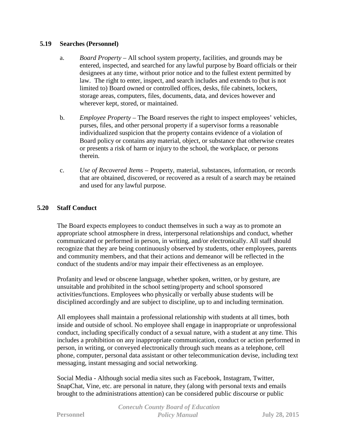## **5.19 Searches (Personnel)**

- a. *Board Property*  All school system property, facilities, and grounds may be entered, inspected, and searched for any lawful purpose by Board officials or their designees at any time, without prior notice and to the fullest extent permitted by law. The right to enter, inspect, and search includes and extends to (but is not limited to) Board owned or controlled offices, desks, file cabinets, lockers, storage areas, computers, files, documents, data, and devices however and wherever kept, stored, or maintained.
- b. *Employee Property*  The Board reserves the right to inspect employees' vehicles, purses, files, and other personal property if a supervisor forms a reasonable individualized suspicion that the property contains evidence of a violation of Board policy or contains any material, object, or substance that otherwise creates or presents a risk of harm or injury to the school, the workplace, or persons therein.
- c. *Use of Recovered Items*  Property, material, substances, information, or records that are obtained, discovered, or recovered as a result of a search may be retained and used for any lawful purpose.

# **5.20 Staff Conduct**

The Board expects employees to conduct themselves in such a way as to promote an appropriate school atmosphere in dress, interpersonal relationships and conduct, whether communicated or performed in person, in writing, and/or electronically. All staff should recognize that they are being continuously observed by students, other employees, parents and community members, and that their actions and demeanor will be reflected in the conduct of the students and/or may impair their effectiveness as an employee.

Profanity and lewd or obscene language, whether spoken, written, or by gesture, are unsuitable and prohibited in the school setting/property and school sponsored activities/functions. Employees who physically or verbally abuse students will be disciplined accordingly and are subject to discipline, up to and including termination.

All employees shall maintain a professional relationship with students at all times, both inside and outside of school. No employee shall engage in inappropriate or unprofessional conduct, including specifically conduct of a sexual nature, with a student at any time. This includes a prohibition on any inappropriate communication, conduct or action performed in person, in writing, or conveyed electronically through such means as a telephone, cell phone, computer, personal data assistant or other telecommunication devise, including text messaging, instant messaging and social networking.

Social Media - Although social media sites such as Facebook, Instagram, Twitter, SnapChat, Vine, etc. are personal in nature, they (along with personal texts and emails brought to the administrations attention) can be considered public discourse or public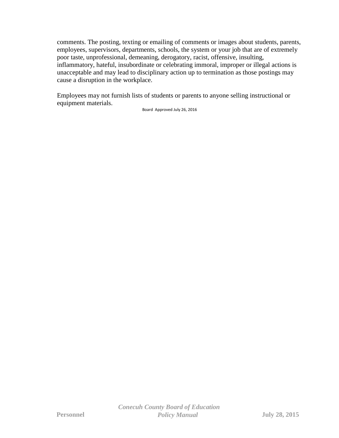comments. The posting, texting or emailing of comments or images about students, parents, employees, supervisors, departments, schools, the system or your job that are of extremely poor taste, unprofessional, demeaning, derogatory, racist, offensive, insulting, inflammatory, hateful, insubordinate or celebrating immoral, improper or illegal actions is unacceptable and may lead to disciplinary action up to termination as those postings may cause a disruption in the workplace.

Employees may not furnish lists of students or parents to anyone selling instructional or equipment materials.

Board Approved July 26, 2016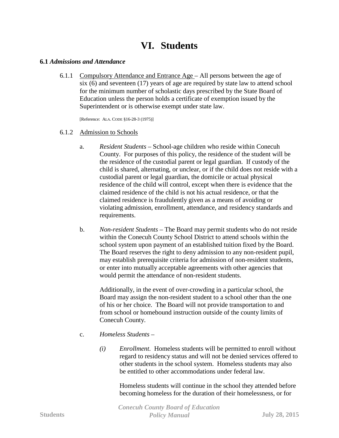# **VI. Students**

#### **6.1** *Admissions and Attendance*

6.1.1 Compulsory Attendance and Entrance Age – All persons between the age of six (6) and seventeen (17) years of age are required by state law to attend school for the minimum number of scholastic days prescribed by the State Board of Education unless the person holds a certificate of exemption issued by the Superintendent or is otherwise exempt under state law.

[Reference: ALA. CODE §16-28-3 (1975)]

#### 6.1.2 Admission to Schools

- a. *Resident Students* School-age children who reside within Conecuh County. For purposes of this policy, the residence of the student will be the residence of the custodial parent or legal guardian. If custody of the child is shared, alternating, or unclear, or if the child does not reside with a custodial parent or legal guardian, the domicile or actual physical residence of the child will control, except when there is evidence that the claimed residence of the child is not his actual residence, or that the claimed residence is fraudulently given as a means of avoiding or violating admission, enrollment, attendance, and residency standards and requirements.
- b. *Non-resident Students* The Board may permit students who do not reside within the Conecuh County School District to attend schools within the school system upon payment of an established tuition fixed by the Board. The Board reserves the right to deny admission to any non-resident pupil, may establish prerequisite criteria for admission of non-resident students, or enter into mutually acceptable agreements with other agencies that would permit the attendance of non-resident students.

Additionally, in the event of over-crowding in a particular school, the Board may assign the non-resident student to a school other than the one of his or her choice. The Board will not provide transportation to and from school or homebound instruction outside of the county limits of Conecuh County.

- c. *Homeless Students* 
	- *(i) Enrollment*. Homeless students will be permitted to enroll without regard to residency status and will not be denied services offered to other students in the school system. Homeless students may also be entitled to other accommodations under federal law.

Homeless students will continue in the school they attended before becoming homeless for the duration of their homelessness, or for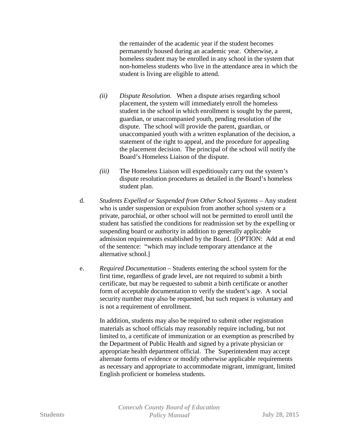the remainder of the academic year if the student becomes permanently housed during an academic year. Otherwise, a homeless student may be enrolled in any school in the system that non-homeless students who live in the attendance area in which the student is living are eligible to attend.

- *(ii) Dispute Resolution*. When a dispute arises regarding school placement, the system will immediately enroll the homeless student in the school in which enrollment is sought by the parent, guardian, or unaccompanied youth, pending resolution of the dispute. The school will provide the parent, guardian, or unaccompanied youth with a written explanation of the decision, a statement of the right to appeal, and the procedure for appealing the placement decision. The principal of the school will notify the Board's Homeless Liaison of the dispute.
- *(iii)* The Homeless Liaison will expeditiously carry out the system's dispute resolution procedures as detailed in the Board's homeless student plan.
- d. *Students Expelled or Suspended from Other School Systems* Any student who is under suspension or expulsion from another school system or a private, parochial, or other school will not be permitted to enroll until the student has satisfied the conditions for readmission set by the expelling or suspending board or authority in addition to generally applicable admission requirements established by the Board. [OPTION: Add at end of the sentence: "which may include temporary attendance at the alternative school.]
- e. *Required Documentation* Students entering the school system for the first time, regardless of grade level, are not required to submit a birth certificate, but may be requested to submit a birth certificate or another form of acceptable documentation to verify the student's age. A social security number may also be requested, but such request is voluntary and is not a requirement of enrollment.

In addition, students may also be required to submit other registration materials as school officials may reasonably require including, but not limited to, a certificate of immunization or an exemption as prescribed by the Department of Public Health and signed by a private physician or appropriate health department official. The Superintendent may accept alternate forms of evidence or modify otherwise applicable requirements as necessary and appropriate to accommodate migrant, immigrant, limited English proficient or homeless students.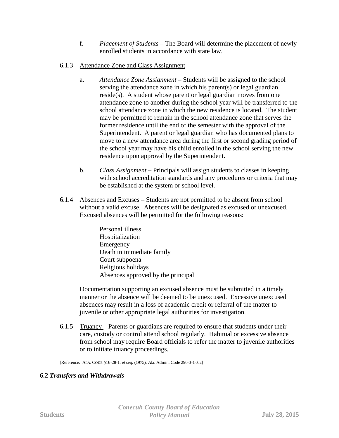- f. *Placement of Students*  The Board will determine the placement of newly enrolled students in accordance with state law.
- 6.1.3 Attendance Zone and Class Assignment
	- a. *Attendance Zone Assignment* Students will be assigned to the school serving the attendance zone in which his parent(s) or legal guardian reside(s). A student whose parent or legal guardian moves from one attendance zone to another during the school year will be transferred to the school attendance zone in which the new residence is located. The student may be permitted to remain in the school attendance zone that serves the former residence until the end of the semester with the approval of the Superintendent. A parent or legal guardian who has documented plans to move to a new attendance area during the first or second grading period of the school year may have his child enrolled in the school serving the new residence upon approval by the Superintendent.
	- b. *Class Assignment* Principals will assign students to classes in keeping with school accreditation standards and any procedures or criteria that may be established at the system or school level.
- 6.1.4 Absences and Excuses Students are not permitted to be absent from school without a valid excuse. Absences will be designated as excused or unexcused. Excused absences will be permitted for the following reasons:
	- Personal illness Hospitalization Emergency Death in immediate family Court subpoena Religious holidays Absences approved by the principal

Documentation supporting an excused absence must be submitted in a timely manner or the absence will be deemed to be unexcused. Excessive unexcused absences may result in a loss of academic credit or referral of the matter to juvenile or other appropriate legal authorities for investigation.

6.1.5 Truancy – Parents or guardians are required to ensure that students under their care, custody or control attend school regularly. Habitual or excessive absence from school may require Board officials to refer the matter to juvenile authorities or to initiate truancy proceedings.

[Reference: ALA. CODE §16-28-1, *et seq.* (1975); Ala. Admin. Code 290-3-1-.02]

# **6.2** *Transfers and Withdrawals*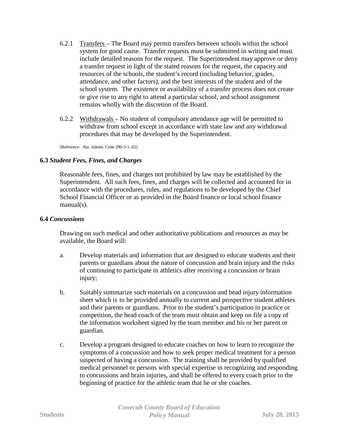- 6.2.1 Transfers The Board may permit transfers between schools within the school system for good cause. Transfer requests must be submitted in writing and must include detailed reasons for the request. The Superintendent may approve or deny a transfer request in light of the stated reasons for the request, the capacity and resources of the schools, the student's record (including behavior, grades, attendance, and other factors), and the best interests of the student and of the school system. The existence or availability of a transfer process does not create or give rise to any right to attend a particular school, and school assignment remains wholly with the discretion of the Board.
- 6.2.2 Withdrawals No student of compulsory attendance age will be permitted to withdraw from school except in accordance with state law and any withdrawal procedures that may be developed by the Superintendent.

[Reference: Ala. Admin. Code 290-3-1-.02]

## **6.3** *Student Fees, Fines, and Charges*

Reasonable fees, fines, and charges not prohibited by law may be established by the Superintendent. All such fees, fines, and charges will be collected and accounted for in accordance with the procedures, rules, and regulations to be developed by the Chief School Financial Officer or as provided in the Board finance or local school finance manual(s).

### **6.4** *Concussions*

Drawing on such medical and other authoritative publications and resources as may be available, the Board will:

- a. Develop materials and information that are designed to educate students and their parents or guardians about the nature of concussion and brain injury and the risks of continuing to participate in athletics after receiving a concussion or brain injury;
- b. Suitably summarize such materials on a concussion and head injury information sheet which is to be provided annually to current and prospective student athletes and their parents or guardians. Prior to the student's participation in practice or competition, the head coach of the team must obtain and keep on file a copy of the information worksheet signed by the team member and his or her parent or guardian.
- c. Develop a program designed to educate coaches on how to learn to recognize the symptoms of a concussion and how to seek proper medical treatment for a person suspected of having a concussion. The training shall be provided by qualified medical personnel or persons with special expertise in recognizing and responding to concussions and brain injuries, and shall be offered to every coach prior to the beginning of practice for the athletic team that he or she coaches.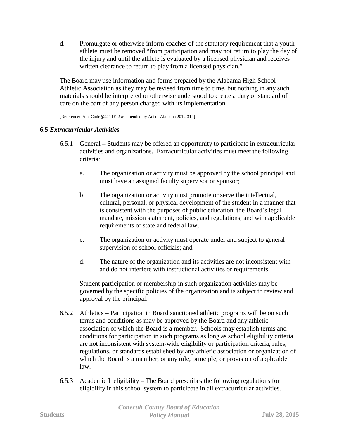d. Promulgate or otherwise inform coaches of the statutory requirement that a youth athlete must be removed "from participation and may not return to play the day of the injury and until the athlete is evaluated by a licensed physician and receives written clearance to return to play from a licensed physician."

The Board may use information and forms prepared by the Alabama High School Athletic Association as they may be revised from time to time, but nothing in any such materials should be interpreted or otherwise understood to create a duty or standard of care on the part of any person charged with its implementation.

[Reference: Ala. Code §22-11E-2 as amended by Act of Alabama 2012-314]

# **6.5** *Extracurricular Activities*

- 6.5.1 General Students may be offered an opportunity to participate in extracurricular activities and organizations. Extracurricular activities must meet the following criteria:
	- a. The organization or activity must be approved by the school principal and must have an assigned faculty supervisor or sponsor;
	- b. The organization or activity must promote or serve the intellectual, cultural, personal, or physical development of the student in a manner that is consistent with the purposes of public education, the Board's legal mandate, mission statement, policies, and regulations, and with applicable requirements of state and federal law;
	- c. The organization or activity must operate under and subject to general supervision of school officials; and
	- d. The nature of the organization and its activities are not inconsistent with and do not interfere with instructional activities or requirements.

Student participation or membership in such organization activities may be governed by the specific policies of the organization and is subject to review and approval by the principal.

- 6.5.2 Athletics Participation in Board sanctioned athletic programs will be on such terms and conditions as may be approved by the Board and any athletic association of which the Board is a member. Schools may establish terms and conditions for participation in such programs as long as school eligibility criteria are not inconsistent with system-wide eligibility or participation criteria, rules, regulations, or standards established by any athletic association or organization of which the Board is a member, or any rule, principle, or provision of applicable law.
- 6.5.3 Academic Ineligibility The Board prescribes the following regulations for eligibility in this school system to participate in all extracurricular activities.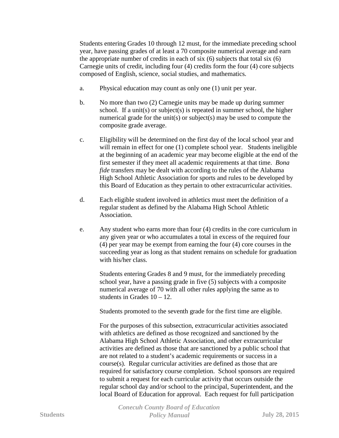Students entering Grades 10 through 12 must, for the immediate preceding school year, have passing grades of at least a 70 composite numerical average and earn the appropriate number of credits in each of six (6) subjects that total six (6) Carnegie units of credit, including four (4) credits form the four (4) core subjects composed of English, science, social studies, and mathematics.

- a. Physical education may count as only one (1) unit per year.
- b. No more than two (2) Carnegie units may be made up during summer school. If a unit(s) or subject(s) is repeated in summer school, the higher numerical grade for the unit(s) or subject(s) may be used to compute the composite grade average.
- c. Eligibility will be determined on the first day of the local school year and will remain in effect for one (1) complete school year. Students ineligible at the beginning of an academic year may become eligible at the end of the first semester if they meet all academic requirements at that time. *Bona fide* transfers may be dealt with according to the rules of the Alabama High School Athletic Association for sports and rules to be developed by this Board of Education as they pertain to other extracurricular activities.
- d. Each eligible student involved in athletics must meet the definition of a regular student as defined by the Alabama High School Athletic Association.
- e. Any student who earns more than four (4) credits in the core curriculum in any given year or who accumulates a total in excess of the required four (4) per year may be exempt from earning the four (4) core courses in the succeeding year as long as that student remains on schedule for graduation with his/her class.

Students entering Grades 8 and 9 must, for the immediately preceding school year, have a passing grade in five (5) subjects with a composite numerical average of 70 with all other rules applying the same as to students in Grades 10 – 12.

Students promoted to the seventh grade for the first time are eligible.

For the purposes of this subsection, extracurricular activities associated with athletics are defined as those recognized and sanctioned by the Alabama High School Athletic Association, and other extracurricular activities are defined as those that are sanctioned by a public school that are not related to a student's academic requirements or success in a course(s). Regular curricular activities are defined as those that are required for satisfactory course completion. School sponsors are required to submit a request for each curricular activity that occurs outside the regular school day and/or school to the principal, Superintendent, and the local Board of Education for approval. Each request for full participation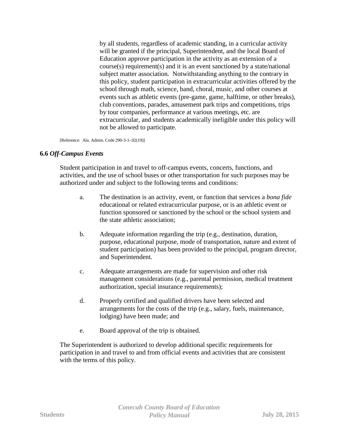by all students, regardless of academic standing, in a curricular activity will be granted if the principal, Superintendent, and the local Board of Education approve participation in the activity as an extension of a course(s) requirement(s) and it is an event sanctioned by a state/national subject matter association. Notwithstanding anything to the contrary in this policy, student participation in extracurricular activities offered by the school through math, science, band, choral, music, and other courses at events such as athletic events (pre-game, game, halftime, or other breaks), club conventions, parades, amusement park trips and competitions, trips by tour companies, performance at various meetings, etc. are extracurricular, and students academically ineligible under this policy will not be allowed to participate.

[Reference: Ala. Admin. Code 290-3-1-.02(19)]

## **6.6** *Off-Campus Events*

Student participation in and travel to off-campus events, concerts, functions, and activities, and the use of school buses or other transportation for such purposes may be authorized under and subject to the following terms and conditions:

- a. The destination is an activity, event, or function that services a *bona fide* educational or related extracurricular purpose, or is an athletic event or function sponsored or sanctioned by the school or the school system and the state athletic association;
- b. Adequate information regarding the trip (e.g., destination, duration, purpose, educational purpose, mode of transportation, nature and extent of student participation) has been provided to the principal, program director, and Superintendent.
- c. Adequate arrangements are made for supervision and other risk management considerations (e.g., parental permission, medical treatment authorization, special insurance requirements);
- d. Properly certified and qualified drivers have been selected and arrangements for the costs of the trip (e.g., salary, fuels, maintenance, lodging) have been made; and
- e. Board approval of the trip is obtained.

The Superintendent is authorized to develop additional specific requirements for participation in and travel to and from official events and activities that are consistent with the terms of this policy.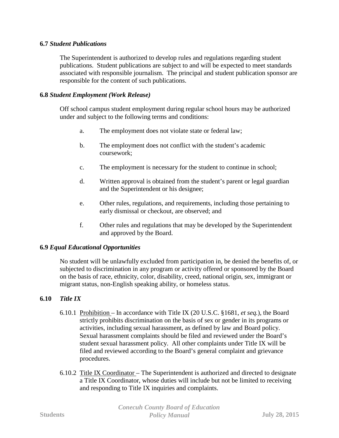# **6.7** *Student Publications*

The Superintendent is authorized to develop rules and regulations regarding student publications. Student publications are subject to and will be expected to meet standards associated with responsible journalism. The principal and student publication sponsor are responsible for the content of such publications.

# **6.8** *Student Employment (Work Release)*

Off school campus student employment during regular school hours may be authorized under and subject to the following terms and conditions:

- a. The employment does not violate state or federal law;
- b. The employment does not conflict with the student's academic coursework;
- c. The employment is necessary for the student to continue in school;
- d. Written approval is obtained from the student's parent or legal guardian and the Superintendent or his designee;
- e. Other rules, regulations, and requirements, including those pertaining to early dismissal or checkout, are observed; and
- f. Other rules and regulations that may be developed by the Superintendent and approved by the Board.

## **6.9** *Equal Educational Opportunities*

No student will be unlawfully excluded from participation in, be denied the benefits of, or subjected to discrimination in any program or activity offered or sponsored by the Board on the basis of race, ethnicity, color, disability, creed, national origin, sex, immigrant or migrant status, non-English speaking ability, or homeless status.

# **6.10** *Title IX*

- 6.10.1 Prohibition In accordance with Title IX (20 U.S.C. §1681, *et seq.*), the Board strictly prohibits discrimination on the basis of sex or gender in its programs or activities, including sexual harassment, as defined by law and Board policy. Sexual harassment complaints should be filed and reviewed under the Board's student sexual harassment policy. All other complaints under Title IX will be filed and reviewed according to the Board's general complaint and grievance procedures.
- 6.10.2 Title IX Coordinator The Superintendent is authorized and directed to designate a Title IX Coordinator, whose duties will include but not be limited to receiving and responding to Title IX inquiries and complaints.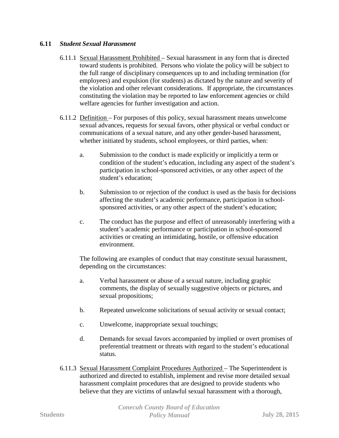# **6.11** *Student Sexual Harassment*

- 6.11.1 Sexual Harassment Prohibited Sexual harassment in any form that is directed toward students is prohibited. Persons who violate the policy will be subject to the full range of disciplinary consequences up to and including termination (for employees) and expulsion (for students) as dictated by the nature and severity of the violation and other relevant considerations. If appropriate, the circumstances constituting the violation may be reported to law enforcement agencies or child welfare agencies for further investigation and action.
- 6.11.2 Definition For purposes of this policy, sexual harassment means unwelcome sexual advances, requests for sexual favors, other physical or verbal conduct or communications of a sexual nature, and any other gender-based harassment, whether initiated by students, school employees, or third parties, when:
	- a. Submission to the conduct is made explicitly or implicitly a term or condition of the student's education, including any aspect of the student's participation in school-sponsored activities, or any other aspect of the student's education;
	- b. Submission to or rejection of the conduct is used as the basis for decisions affecting the student's academic performance, participation in schoolsponsored activities, or any other aspect of the student's education;
	- c. The conduct has the purpose and effect of unreasonably interfering with a student's academic performance or participation in school-sponsored activities or creating an intimidating, hostile, or offensive education environment.

The following are examples of conduct that may constitute sexual harassment, depending on the circumstances:

- a. Verbal harassment or abuse of a sexual nature, including graphic comments, the display of sexually suggestive objects or pictures, and sexual propositions;
- b. Repeated unwelcome solicitations of sexual activity or sexual contact;
- c. Unwelcome, inappropriate sexual touchings;
- d. Demands for sexual favors accompanied by implied or overt promises of preferential treatment or threats with regard to the student's educational status.
- 6.11.3 Sexual Harassment Complaint Procedures Authorized The Superintendent is authorized and directed to establish, implement and revise more detailed sexual harassment complaint procedures that are designed to provide students who believe that they are victims of unlawful sexual harassment with a thorough,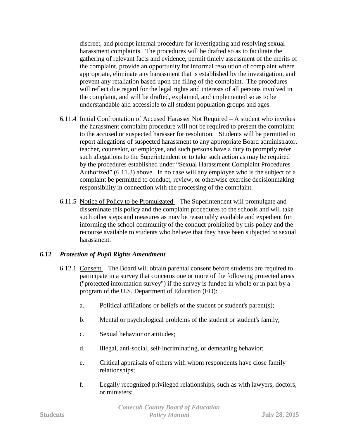discreet, and prompt internal procedure for investigating and resolving sexual harassment complaints. The procedures will be drafted so as to facilitate the gathering of relevant facts and evidence, permit timely assessment of the merits of the complaint, provide an opportunity for informal resolution of complaint where appropriate, eliminate any harassment that is established by the investigation, and prevent any retaliation based upon the filing of the complaint. The procedures will reflect due regard for the legal rights and interests of all persons involved in the complaint, and will be drafted, explained, and implemented so as to be understandable and accessible to all student population groups and ages.

- 6.11.4 Initial Confrontation of Accused Harasser Not Required A student who invokes the harassment complaint procedure will not be required to present the complaint to the accused or suspected harasser for resolution. Students will be permitted to report allegations of suspected harassment to any appropriate Board administrator, teacher, counselor, or employee, and such persons have a duty to promptly refer such allegations to the Superintendent or to take such action as may be required by the procedures established under "Sexual Harassment Complaint Procedures Authorized" (6.11.3) above. In no case will any employee who is the subject of a complaint be permitted to conduct, review, or otherwise exercise decisionmaking responsibility in connection with the processing of the complaint.
- 6.11.5 Notice of Policy to be Promulgated The Superintendent will promulgate and disseminate this policy and the complaint procedures to the schools and will take such other steps and measures as may be reasonably available and expedient for informing the school community of the conduct prohibited by this policy and the recourse available to students who believe that they have been subjected to sexual harassment.

## **6.12** *Protection of Pupil Rights Amendment*

- 6.12.1 Consent The Board will obtain parental consent before students are required to participate in a survey that concerns one or more of the following protected areas ("protected information survey") if the survey is funded in whole or in part by a program of the U.S. Department of Education (ED):
	- a. Political affiliations or beliefs of the student or student's parent(s);
	- b. Mental or psychological problems of the student or student's family;
	- c. Sexual behavior or attitudes;
	- d. Illegal, anti-social, self-incriminating, or demeaning behavior;
	- e. Critical appraisals of others with whom respondents have close family relationships;
	- f. Legally recognized privileged relationships, such as with lawyers, doctors, or ministers;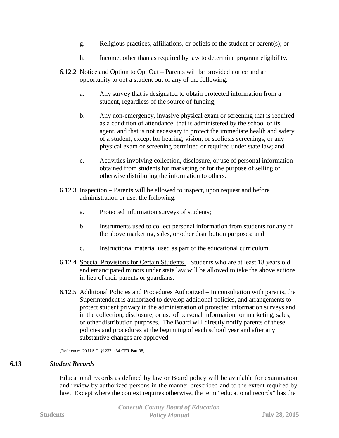- g. Religious practices, affiliations, or beliefs of the student or parent(s); or
- h. Income, other than as required by law to determine program eligibility.
- 6.12.2 Notice and Option to Opt Out Parents will be provided notice and an opportunity to opt a student out of any of the following:
	- a. Any survey that is designated to obtain protected information from a student, regardless of the source of funding;
	- b. Any non-emergency, invasive physical exam or screening that is required as a condition of attendance, that is administered by the school or its agent, and that is not necessary to protect the immediate health and safety of a student, except for hearing, vision, or scoliosis screenings, or any physical exam or screening permitted or required under state law; and
	- c. Activities involving collection, disclosure, or use of personal information obtained from students for marketing or for the purpose of selling or otherwise distributing the information to others.
- 6.12.3 Inspection Parents will be allowed to inspect, upon request and before administration or use, the following:
	- a. Protected information surveys of students;
	- b. Instruments used to collect personal information from students for any of the above marketing, sales, or other distribution purposes; and
	- c. Instructional material used as part of the educational curriculum.
- 6.12.4 Special Provisions for Certain Students Students who are at least 18 years old and emancipated minors under state law will be allowed to take the above actions in lieu of their parents or guardians.
- 6.12.5 Additional Policies and Procedures Authorized In consultation with parents, the Superintendent is authorized to develop additional policies, and arrangements to protect student privacy in the administration of protected information surveys and in the collection, disclosure, or use of personal information for marketing, sales, or other distribution purposes. The Board will directly notify parents of these policies and procedures at the beginning of each school year and after any substantive changes are approved.

[Reference: 20 U.S.C. §1232h; 34 CFR Part 98]

## **6.13** *Student Records*

Educational records as defined by law or Board policy will be available for examination and review by authorized persons in the manner prescribed and to the extent required by law. Except where the context requires otherwise, the term "educational records" has the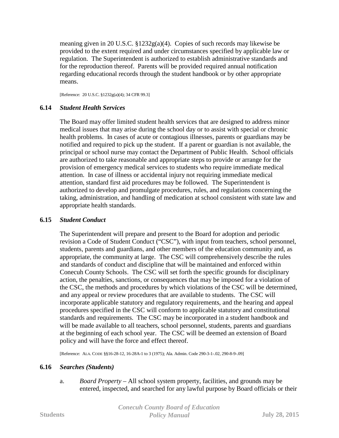meaning given in 20 U.S.C. §1232g(a)(4). Copies of such records may likewise be provided to the extent required and under circumstances specified by applicable law or regulation. The Superintendent is authorized to establish administrative standards and for the reproduction thereof. Parents will be provided required annual notification regarding educational records through the student handbook or by other appropriate means.

[Reference: 20 U.S.C. §1232g(a)(4); 34 CFR 99.3]

# **6.14** *Student Health Services*

The Board may offer limited student health services that are designed to address minor medical issues that may arise during the school day or to assist with special or chronic health problems. In cases of acute or contagious illnesses, parents or guardians may be notified and required to pick up the student. If a parent or guardian is not available, the principal or school nurse may contact the Department of Public Health. School officials are authorized to take reasonable and appropriate steps to provide or arrange for the provision of emergency medical services to students who require immediate medical attention. In case of illness or accidental injury not requiring immediate medical attention, standard first aid procedures may be followed. The Superintendent is authorized to develop and promulgate procedures, rules, and regulations concerning the taking, administration, and handling of medication at school consistent with state law and appropriate health standards.

## **6.15** *Student Conduct*

The Superintendent will prepare and present to the Board for adoption and periodic revision a Code of Student Conduct ("CSC"), with input from teachers, school personnel, students, parents and guardians, and other members of the education community and, as appropriate, the community at large. The CSC will comprehensively describe the rules and standards of conduct and discipline that will be maintained and enforced within Conecuh County Schools. The CSC will set forth the specific grounds for disciplinary action, the penalties, sanctions, or consequences that may be imposed for a violation of the CSC, the methods and procedures by which violations of the CSC will be determined, and any appeal or review procedures that are available to students. The CSC will incorporate applicable statutory and regulatory requirements, and the hearing and appeal procedures specified in the CSC will conform to applicable statutory and constitutional standards and requirements. The CSC may be incorporated in a student handbook and will be made available to all teachers, school personnel, students, parents and guardians at the beginning of each school year. The CSC will be deemed an extension of Board policy and will have the force and effect thereof.

[Reference: ALA. CODE §§16-28-12, 16-28A-1 to 3 (1975); Ala. Admin. Code 290-3-1-.02, 290-8-9-.09]

## **6.16** *Searches (Students)*

a. *Board Property* – All school system property, facilities, and grounds may be entered, inspected, and searched for any lawful purpose by Board officials or their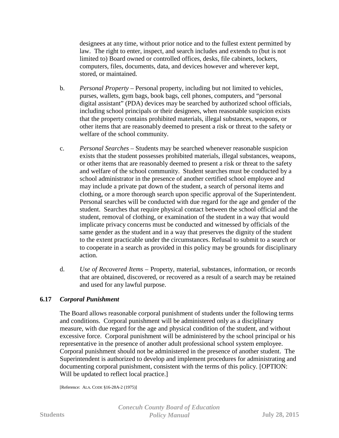designees at any time, without prior notice and to the fullest extent permitted by law. The right to enter, inspect, and search includes and extends to (but is not limited to) Board owned or controlled offices, desks, file cabinets, lockers, computers, files, documents, data, and devices however and wherever kept, stored, or maintained.

- b. *Personal Property* Personal property, including but not limited to vehicles, purses, wallets, gym bags, book bags, cell phones, computers, and "personal digital assistant" (PDA) devices may be searched by authorized school officials, including school principals or their designees, when reasonable suspicion exists that the property contains prohibited materials, illegal substances, weapons, or other items that are reasonably deemed to present a risk or threat to the safety or welfare of the school community.
- c. *Personal Searches* Students may be searched whenever reasonable suspicion exists that the student possesses prohibited materials, illegal substances, weapons, or other items that are reasonably deemed to present a risk or threat to the safety and welfare of the school community. Student searches must be conducted by a school administrator in the presence of another certified school employee and may include a private pat down of the student, a search of personal items and clothing, or a more thorough search upon specific approval of the Superintendent. Personal searches will be conducted with due regard for the age and gender of the student. Searches that require physical contact between the school official and the student, removal of clothing, or examination of the student in a way that would implicate privacy concerns must be conducted and witnessed by officials of the same gender as the student and in a way that preserves the dignity of the student to the extent practicable under the circumstances. Refusal to submit to a search or to cooperate in a search as provided in this policy may be grounds for disciplinary action.
- d. *Use of Recovered Items* Property, material, substances, information, or records that are obtained, discovered, or recovered as a result of a search may be retained and used for any lawful purpose.

# **6.17** *Corporal Punishment*

The Board allows reasonable corporal punishment of students under the following terms and conditions. Corporal punishment will be administered only as a disciplinary measure, with due regard for the age and physical condition of the student, and without excessive force. Corporal punishment will be administered by the school principal or his representative in the presence of another adult professional school system employee. Corporal punishment should not be administered in the presence of another student. The Superintendent is authorized to develop and implement procedures for administrating and documenting corporal punishment, consistent with the terms of this policy. [OPTION: Will be updated to reflect local practice.

[Reference: ALA. CODE §16-28A-2 (1975)]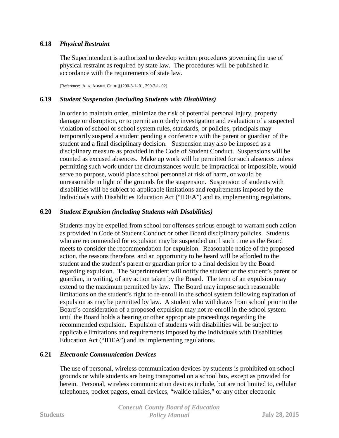# **6.18** *Physical Restraint*

The Superintendent is authorized to develop written procedures governing the use of physical restraint as required by state law. The procedures will be published in accordance with the requirements of state law.

[Reference: ALA. ADMIN. CODE §§290-3-1-.01, 290-3-1-.02]

### **6.19** *Student Suspension (including Students with Disabilities)*

In order to maintain order, minimize the risk of potential personal injury, property damage or disruption, or to permit an orderly investigation and evaluation of a suspected violation of school or school system rules, standards, or policies, principals may temporarily suspend a student pending a conference with the parent or guardian of the student and a final disciplinary decision. Suspension may also be imposed as a disciplinary measure as provided in the Code of Student Conduct. Suspensions will be counted as excused absences. Make up work will be permitted for such absences unless permitting such work under the circumstances would be impractical or impossible, would serve no purpose, would place school personnel at risk of harm, or would be unreasonable in light of the grounds for the suspension. Suspension of students with disabilities will be subject to applicable limitations and requirements imposed by the Individuals with Disabilities Education Act ("IDEA") and its implementing regulations.

## **6.20** *Student Expulsion (including Students with Disabilities)*

Students may be expelled from school for offenses serious enough to warrant such action as provided in Code of Student Conduct or other Board disciplinary policies. Students who are recommended for expulsion may be suspended until such time as the Board meets to consider the recommendation for expulsion. Reasonable notice of the proposed action, the reasons therefore, and an opportunity to be heard will be afforded to the student and the student's parent or guardian prior to a final decision by the Board regarding expulsion. The Superintendent will notify the student or the student's parent or guardian, in writing, of any action taken by the Board. The term of an expulsion may extend to the maximum permitted by law. The Board may impose such reasonable limitations on the student's right to re-enroll in the school system following expiration of expulsion as may be permitted by law. A student who withdraws from school prior to the Board's consideration of a proposed expulsion may not re-enroll in the school system until the Board holds a hearing or other appropriate proceedings regarding the recommended expulsion. Expulsion of students with disabilities will be subject to applicable limitations and requirements imposed by the Individuals with Disabilities Education Act ("IDEA") and its implementing regulations.

## **6.21** *Electronic Communication Devices*

The use of personal, wireless communication devices by students is prohibited on school grounds or while students are being transported on a school bus, except as provided for herein. Personal, wireless communication devices include, but are not limited to, cellular telephones, pocket pagers, email devices, "walkie talkies," or any other electronic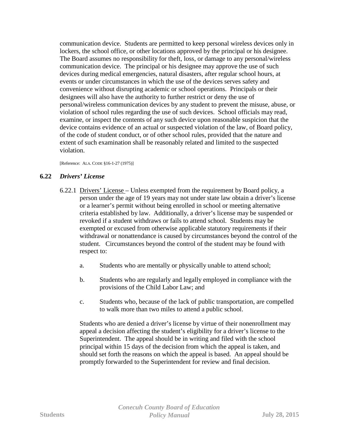communication device. Students are permitted to keep personal wireless devices only in lockers, the school office, or other locations approved by the principal or his designee. The Board assumes no responsibility for theft, loss, or damage to any personal/wireless communication device. The principal or his designee may approve the use of such devices during medical emergencies, natural disasters, after regular school hours, at events or under circumstances in which the use of the devices serves safety and convenience without disrupting academic or school operations. Principals or their designees will also have the authority to further restrict or deny the use of personal/wireless communication devices by any student to prevent the misuse, abuse, or violation of school rules regarding the use of such devices. School officials may read, examine, or inspect the contents of any such device upon reasonable suspicion that the device contains evidence of an actual or suspected violation of the law, of Board policy, of the code of student conduct, or of other school rules, provided that the nature and extent of such examination shall be reasonably related and limited to the suspected violation.

[Reference: ALA. CODE §16-1-27 (1975)]

## **6.22** *Drivers' License*

- 6.22.1 Drivers' License Unless exempted from the requirement by Board policy, a person under the age of 19 years may not under state law obtain a driver's license or a learner's permit without being enrolled in school or meeting alternative criteria established by law. Additionally, a driver's license may be suspended or revoked if a student withdraws or fails to attend school. Students may be exempted or excused from otherwise applicable statutory requirements if their withdrawal or nonattendance is caused by circumstances beyond the control of the student. Circumstances beyond the control of the student may be found with respect to:
	- a. Students who are mentally or physically unable to attend school;
	- b. Students who are regularly and legally employed in compliance with the provisions of the Child Labor Law; and
	- c. Students who, because of the lack of public transportation, are compelled to walk more than two miles to attend a public school.

Students who are denied a driver's license by virtue of their nonenrollment may appeal a decision affecting the student's eligibility for a driver's license to the Superintendent. The appeal should be in writing and filed with the school principal within 15 days of the decision from which the appeal is taken, and should set forth the reasons on which the appeal is based. An appeal should be promptly forwarded to the Superintendent for review and final decision.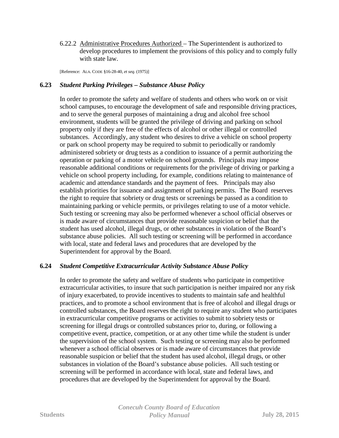6.22.2 Administrative Procedures Authorized – The Superintendent is authorized to develop procedures to implement the provisions of this policy and to comply fully with state law.

[Reference: ALA. CODE §16-28-40, *et seq.* (1975)]

## **6.23** *Student Parking Privileges – Substance Abuse Policy*

In order to promote the safety and welfare of students and others who work on or visit school campuses, to encourage the development of safe and responsible driving practices, and to serve the general purposes of maintaining a drug and alcohol free school environment, students will be granted the privilege of driving and parking on school property only if they are free of the effects of alcohol or other illegal or controlled substances. Accordingly, any student who desires to drive a vehicle on school property or park on school property may be required to submit to periodically or randomly administered sobriety or drug tests as a condition to issuance of a permit authorizing the operation or parking of a motor vehicle on school grounds. Principals may impose reasonable additional conditions or requirements for the privilege of driving or parking a vehicle on school property including, for example, conditions relating to maintenance of academic and attendance standards and the payment of fees. Principals may also establish priorities for issuance and assignment of parking permits. The Board reserves the right to require that sobriety or drug tests or screenings be passed as a condition to maintaining parking or vehicle permits, or privileges relating to use of a motor vehicle. Such testing or screening may also be performed whenever a school official observes or is made aware of circumstances that provide reasonable suspicion or belief that the student has used alcohol, illegal drugs, or other substances in violation of the Board's substance abuse policies. All such testing or screening will be performed in accordance with local, state and federal laws and procedures that are developed by the Superintendent for approval by the Board.

## **6.24** *Student Competitive Extracurricular Activity Substance Abuse Policy*

In order to promote the safety and welfare of students who participate in competitive extracurricular activities, to insure that such participation is neither impaired nor any risk of injury exacerbated, to provide incentives to students to maintain safe and healthful practices, and to promote a school environment that is free of alcohol and illegal drugs or controlled substances, the Board reserves the right to require any student who participates in extracurricular competitive programs or activities to submit to sobriety tests or screening for illegal drugs or controlled substances prior to, during, or following a competitive event, practice, competition, or at any other time while the student is under the supervision of the school system. Such testing or screening may also be performed whenever a school official observes or is made aware of circumstances that provide reasonable suspicion or belief that the student has used alcohol, illegal drugs, or other substances in violation of the Board's substance abuse policies. All such testing or screening will be performed in accordance with local, state and federal laws, and procedures that are developed by the Superintendent for approval by the Board.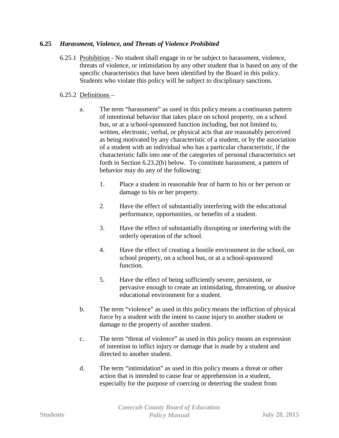# **6.25** *Harassment, Violence, and Threats of Violence Prohibited*

6.25.1 Prohibition - No student shall engage in or be subject to harassment, violence, threats of violence, or intimidation by any other student that is based on any of the specific characteristics that have been identified by the Board in this policy. Students who violate this policy will be subject to disciplinary sanctions.

# 6.25.2 Definitions –

- a. The term "harassment" as used in this policy means a continuous pattern of intentional behavior that takes place on school property, on a school bus, or at a school-sponsored function including, but not limited to, written, electronic, verbal, or physical acts that are reasonably perceived as being motivated by any characteristic of a student, or by the association of a student with an individual who has a particular characteristic, if the characteristic falls into one of the categories of personal characteristics set forth in Section 6.23.2(b) below. To constitute harassment, a pattern of behavior may do any of the following:
	- 1. Place a student in reasonable fear of harm to his or her person or damage to his or her property.
	- 2. Have the effect of substantially interfering with the educational performance, opportunities, or benefits of a student.
	- 3. Have the effect of substantially disrupting or interfering with the orderly operation of the school.
	- 4. Have the effect of creating a hostile environment in the school, on school property, on a school bus, or at a school-sponsored function.
	- 5. Have the effect of being sufficiently severe, persistent, or pervasive enough to create an intimidating, threatening, or abusive educational environment for a student.
- b. The term "violence" as used in this policy means the infliction of physical force by a student with the intent to cause injury to another student or damage to the property of another student.
- c. The term "threat of violence" as used in this policy means an expression of intention to inflict injury or damage that is made by a student and directed to another student.
- d. The term "intimidation" as used in this policy means a threat or other action that is intended to cause fear or apprehension in a student, especially for the purpose of coercing or deterring the student from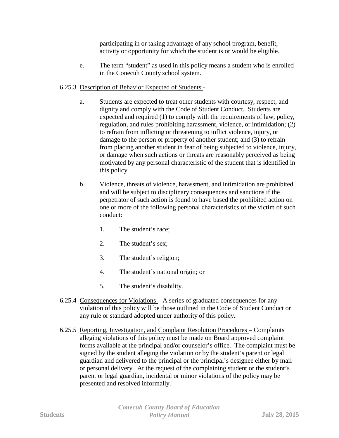participating in or taking advantage of any school program, benefit, activity or opportunity for which the student is or would be eligible.

e. The term "student" as used in this policy means a student who is enrolled in the Conecuh County school system.

# 6.25.3 Description of Behavior Expected of Students -

- a. Students are expected to treat other students with courtesy, respect, and dignity and comply with the Code of Student Conduct. Students are expected and required (1) to comply with the requirements of law, policy, regulation, and rules prohibiting harassment, violence, or intimidation; (2) to refrain from inflicting or threatening to inflict violence, injury, or damage to the person or property of another student; and (3) to refrain from placing another student in fear of being subjected to violence, injury, or damage when such actions or threats are reasonably perceived as being motivated by any personal characteristic of the student that is identified in this policy.
- b. Violence, threats of violence, harassment, and intimidation are prohibited and will be subject to disciplinary consequences and sanctions if the perpetrator of such action is found to have based the prohibited action on one or more of the following personal characteristics of the victim of such conduct:
	- 1. The student's race;
	- 2. The student's sex;
	- 3. The student's religion;
	- 4. The student's national origin; or
	- 5. The student's disability.
- 6.25.4 Consequences for Violations A series of graduated consequences for any violation of this policy will be those outlined in the Code of Student Conduct or any rule or standard adopted under authority of this policy.
- 6.25.5 Reporting, Investigation, and Complaint Resolution Procedures Complaints alleging violations of this policy must be made on Board approved complaint forms available at the principal and/or counselor's office. The complaint must be signed by the student alleging the violation or by the student's parent or legal guardian and delivered to the principal or the principal's designee either by mail or personal delivery. At the request of the complaining student or the student's parent or legal guardian, incidental or minor violations of the policy may be presented and resolved informally.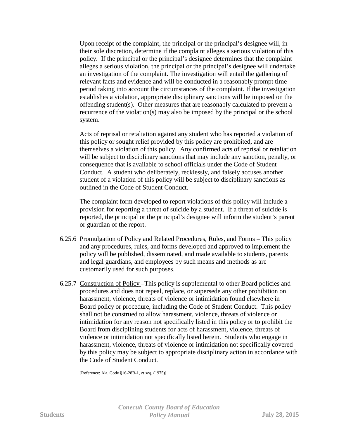Upon receipt of the complaint, the principal or the principal's designee will, in their sole discretion, determine if the complaint alleges a serious violation of this policy. If the principal or the principal's designee determines that the complaint alleges a serious violation, the principal or the principal's designee will undertake an investigation of the complaint. The investigation will entail the gathering of relevant facts and evidence and will be conducted in a reasonably prompt time period taking into account the circumstances of the complaint. If the investigation establishes a violation, appropriate disciplinary sanctions will be imposed on the offending student(s). Other measures that are reasonably calculated to prevent a recurrence of the violation(s) may also be imposed by the principal or the school system.

Acts of reprisal or retaliation against any student who has reported a violation of this policy or sought relief provided by this policy are prohibited, and are themselves a violation of this policy. Any confirmed acts of reprisal or retaliation will be subject to disciplinary sanctions that may include any sanction, penalty, or consequence that is available to school officials under the Code of Student Conduct. A student who deliberately, recklessly, and falsely accuses another student of a violation of this policy will be subject to disciplinary sanctions as outlined in the Code of Student Conduct.

The complaint form developed to report violations of this policy will include a provision for reporting a threat of suicide by a student. If a threat of suicide is reported, the principal or the principal's designee will inform the student's parent or guardian of the report.

- 6.25.6 Promulgation of Policy and Related Procedures, Rules, and Forms This policy and any procedures, rules, and forms developed and approved to implement the policy will be published, disseminated, and made available to students, parents and legal guardians, and employees by such means and methods as are customarily used for such purposes.
- 6.25.7 Construction of Policy –This policy is supplemental to other Board policies and procedures and does not repeal, replace, or supersede any other prohibition on harassment, violence, threats of violence or intimidation found elsewhere in Board policy or procedure, including the Code of Student Conduct. This policy shall not be construed to allow harassment, violence, threats of violence or intimidation for any reason not specifically listed in this policy or to prohibit the Board from disciplining students for acts of harassment, violence, threats of violence or intimidation not specifically listed herein. Students who engage in harassment, violence, threats of violence or intimidation not specifically covered by this policy may be subject to appropriate disciplinary action in accordance with the Code of Student Conduct.

[Reference: Ala. Code §16-28B-1, *et seq.* (1975)]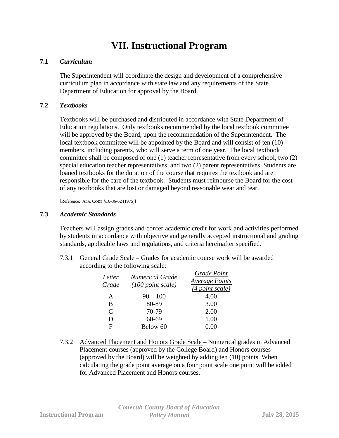# **VII. Instructional Program**

## **7.1** *Curriculum*

The Superintendent will coordinate the design and development of a comprehensive curriculum plan in accordance with state law and any requirements of the State Department of Education for approval by the Board.

## **7.2** *Textbooks*

Textbooks will be purchased and distributed in accordance with State Department of Education regulations. Only textbooks recommended by the local textbook committee will be approved by the Board, upon the recommendation of the Superintendent. The local textbook committee will be appointed by the Board and will consist of ten (10) members, including parents, who will serve a term of one year. The local textbook committee shall be composed of one (1) teacher representative from every school, two (2) special education teacher representatives, and two (2) parent representatives. Students are loaned textbooks for the duration of the course that requires the textbook and are responsible for the care of the textbook. Students must reimburse the Board for the cost of any textbooks that are lost or damaged beyond reasonable wear and tear.

[Reference: ALA. CODE §16-36-62 (1975)]

## **7.3** *Academic Standards*

Teachers will assign grades and confer academic credit for work and activities performed by students in accordance with objective and generally accepted instructional and grading standards, applicable laws and regulations, and criteria hereinafter specified.

7.3.1 General Grade Scale – Grades for academic course work will be awarded according to the following scale:

| Letter<br>Grade             | <b>Numerical Grade</b><br>(100 point scale) | Grade Point<br><b>Average Points</b><br>(4 point scale) |
|-----------------------------|---------------------------------------------|---------------------------------------------------------|
| A                           | $90 - 100$                                  | 4.00                                                    |
| B                           | 80-89                                       | 3.00                                                    |
| $\mathcal{C}_{\mathcal{C}}$ | 70-79                                       | 2.00                                                    |
| D                           | 60-69                                       | 1.00                                                    |
| F                           | Below 60                                    |                                                         |

7.3.2 Advanced Placement and Honors Grade Scale – Numerical grades in Advanced Placement courses (approved by the College Board) and Honors courses (approved by the Board) will be weighted by adding ten (10) points. When calculating the grade point average on a four point scale one point will be added for Advanced Placement and Honors courses.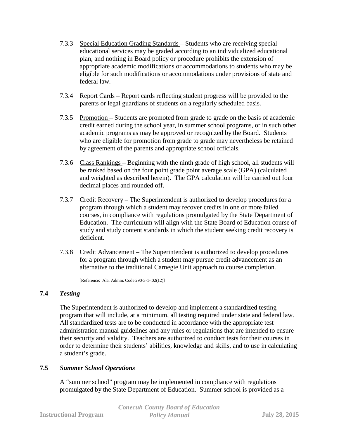- 7.3.3 Special Education Grading Standards Students who are receiving special educational services may be graded according to an individualized educational plan, and nothing in Board policy or procedure prohibits the extension of appropriate academic modifications or accommodations to students who may be eligible for such modifications or accommodations under provisions of state and federal law.
- 7.3.4 Report Cards Report cards reflecting student progress will be provided to the parents or legal guardians of students on a regularly scheduled basis.
- 7.3.5 Promotion Students are promoted from grade to grade on the basis of academic credit earned during the school year, in summer school programs, or in such other academic programs as may be approved or recognized by the Board. Students who are eligible for promotion from grade to grade may nevertheless be retained by agreement of the parents and appropriate school officials.
- 7.3.6 Class Rankings Beginning with the ninth grade of high school, all students will be ranked based on the four point grade point average scale (GPA) (calculated and weighted as described herein). The GPA calculation will be carried out four decimal places and rounded off.
- 7.3.7 Credit Recovery The Superintendent is authorized to develop procedures for a program through which a student may recover credits in one or more failed courses, in compliance with regulations promulgated by the State Department of Education. The curriculum will align with the State Board of Education course of study and study content standards in which the student seeking credit recovery is deficient.
- 7.3.8 Credit Advancement The Superintendent is authorized to develop procedures for a program through which a student may pursue credit advancement as an alternative to the traditional Carnegie Unit approach to course completion.

[Reference: Ala. Admin. Code 290-3-1-.02(12)]

## **7.4** *Testing*

The Superintendent is authorized to develop and implement a standardized testing program that will include, at a minimum, all testing required under state and federal law. All standardized tests are to be conducted in accordance with the appropriate test administration manual guidelines and any rules or regulations that are intended to ensure their security and validity. Teachers are authorized to conduct tests for their courses in order to determine their students' abilities, knowledge and skills, and to use in calculating a student's grade.

## **7.5** *Summer School Operations*

A "summer school" program may be implemented in compliance with regulations promulgated by the State Department of Education. Summer school is provided as a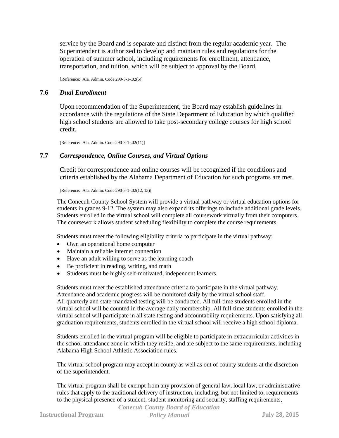service by the Board and is separate and distinct from the regular academic year. The Superintendent is authorized to develop and maintain rules and regulations for the operation of summer school, including requirements for enrollment, attendance, transportation, and tuition, which will be subject to approval by the Board.

[Reference: Ala. Admin. Code 290-3-1-.02(6)]

### **7.6** *Dual Enrollment*

Upon recommendation of the Superintendent, the Board may establish guidelines in accordance with the regulations of the State Department of Education by which qualified high school students are allowed to take post-secondary college courses for high school credit.

[Reference: Ala. Admin. Code 290-3-1-.02(11)]

## **7.7** *Correspondence, Online Courses, and Virtual Options*

Credit for correspondence and online courses will be recognized if the conditions and criteria established by the Alabama Department of Education for such programs are met.

[Reference: Ala. Admin. Code 290-3-1-.02(12, 13)]

The Conecuh County School System will provide a virtual pathway or virtual education options for students in grades 9-12. The system may also expand its offerings to include additional grade levels. Students enrolled in the virtual school will complete all coursework virtually from their computers. The coursework allows student scheduling flexibility to complete the course requirements.

Students must meet the following eligibility criteria to participate in the virtual pathway:

- Own an operational home computer
- Maintain a reliable internet connection
- Have an adult willing to serve as the learning coach
- Be proficient in reading, writing, and math
- Students must be highly self-motivated, independent learners.

Students must meet the established attendance criteria to participate in the virtual pathway. Attendance and academic progress will be monitored daily by the virtual school staff. All quarterly and state-mandated testing will be conducted. All full-time students enrolled in the virtual school will be counted in the average daily membership. All full-time students enrolled in the virtual school will participate in all state testing and accountability requirements. Upon satisfying all graduation requirements, students enrolled in the virtual school will receive a high school diploma.

Students enrolled in the virtual program will be eligible to participate in extracurricular activities in the school attendance zone in which they reside, and are subject to the same requirements, including Alabama High School Athletic Association rules.

The virtual school program may accept in county as well as out of county students at the discretion of the superintendent.

The virtual program shall be exempt from any provision of general law, local law, or administrative rules that apply to the traditional delivery of instruction, including, but not limited to, requirements to the physical presence of a student, student monitoring and security, staffing requirements,

*Conecuh County Board of Education*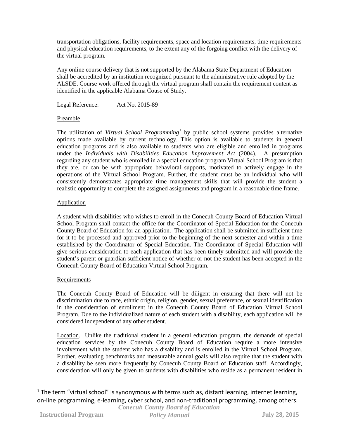transportation obligations, facility requirements, space and location requirements, time requirements and physical education requirements, to the extent any of the forgoing conflict with the delivery of the virtual program.

Any online course delivery that is not supported by the Alabama State Department of Education shall be accredited by an institution recognized pursuant to the administrative rule adopted by the ALSDE. Course work offered through the virtual program shall contain the requirement content as identified in the applicable Alabama Couse of Study.

Legal Reference: Act No. 2015-89

#### Preamble

The utilization of *Virtual School Programming[1](#page-79-0)* by public school systems provides alternative options made available by current technology. This option is available to students in general education programs and is also available to students who are eligible and enrolled in programs under the *Individuals with Disabilities Education Improvement Act* (2004). A presumption regarding any student who is enrolled in a special education program Virtual School Program is that they are, or can be with appropriate behavioral supports, motivated to actively engage in the operations of the Virtual School Program. Further, the student must be an individual who will consistently demonstrates appropriate time management skills that will provide the student a realistic opportunity to complete the assigned assignments and program in a reasonable time frame.

#### Application

A student with disabilities who wishes to enroll in the Conecuh County Board of Education Virtual School Program shall contact the office for the Coordinator of Special Education for the Conecuh County Board of Education for an application. The application shall be submitted in sufficient time for it to be processed and approved prior to the beginning of the next semester and within a time established by the Coordinator of Special Education. The Coordinator of Special Education will give serious consideration to each application that has been timely submitted and will provide the student's parent or guardian sufficient notice of whether or not the student has been accepted in the Conecuh County Board of Education Virtual School Program.

#### **Requirements**

The Conecuh County Board of Education will be diligent in ensuring that there will not be discrimination due to race, ethnic origin, religion, gender, sexual preference, or sexual identification in the consideration of enrollment in the Conecuh County Board of Education Virtual School Program. Due to the individualized nature of each student with a disability, each application will be considered independent of any other student.

Location. Unlike the traditional student in a general education program, the demands of special education services by the Conecuh County Board of Education require a more intensive involvement with the student who has a disability and is enrolled in the Virtual School Program. Further, evaluating benchmarks and measurable annual goals will also require that the student with a disability be seen more frequently by Conecuh County Board of Education staff. Accordingly, consideration will only be given to students with disabilities who reside as a permanent resident in

<span id="page-79-0"></span>*Conecuh County Board of Education*  $1$  The term "virtual school" is synonymous with terms such as, distant learning, internet learning, on-line programming, e-learning, cyber school, and non-traditional programming, among others.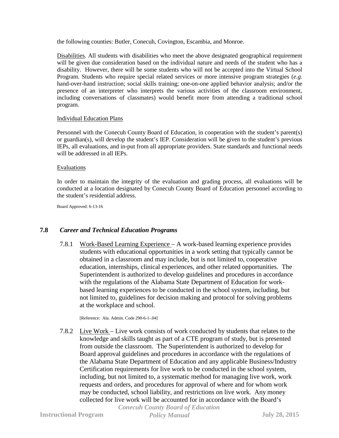the following counties: Butler, Conecuh, Covington, Escambia, and Monroe.

Disabilities. All students with disabilities who meet the above designated geographical requirement will be given due consideration based on the individual nature and needs of the student who has a disability. However, there will be some students who will not be accepted into the Virtual School Program. Students who require special related services or more intensive program strategies (*e.g.* hand-over-hand instruction; social skills training; one-on-one applied behavior analysis; and/or the presence of an interpreter who interprets the various activities of the classroom environment, including conversations of classmates) would benefit more from attending a traditional school program.

#### Individual Education Plans

Personnel with the Conecuh County Board of Education, in cooperation with the student's parent(s) or guardian(s), will develop the student's IEP. Consideration will be given to the student's previous IEPs, all evaluations, and in-put from all appropriate providers. State standards and functional needs will be addressed in all IEPs.

#### Evaluations

In order to maintain the integrity of the evaluation and grading process, all evaluations will be conducted at a location designated by Conecuh County Board of Education personnel according to the student's residential address.

Board Approved: 6-13-16

## **7.8** *Career and Technical Education Programs*

7.8.1 Work-Based Learning Experience – A work-based learning experience provides students with educational opportunities in a work setting that typically cannot be obtained in a classroom and may include, but is not limited to, cooperative education, internships, clinical experiences, and other related opportunities. The Superintendent is authorized to develop guidelines and procedures in accordance with the regulations of the Alabama State Department of Education for workbased learning experiences to be conducted in the school system, including, but not limited to, guidelines for decision making and protocol for solving problems at the workplace and school.

[Reference: Ala. Admin. Code 290-6-1-.04]

7.8.2 Live Work – Live work consists of work conducted by students that relates to the knowledge and skills taught as part of a CTE program of study, but is presented from outside the classroom. The Superintendent is authorized to develop for Board approval guidelines and procedures in accordance with the regulations of the Alabama State Department of Education and any applicable Business/Industry Certification requirements for live work to be conducted in the school system, including, but not limited to, a systematic method for managing live work, work requests and orders, and procedures for approval of where and for whom work may be conducted, school liability, and restrictions on live work. Any money collected for live work will be accounted for in accordance with the Board's

*Conecuh County Board of Education*

**Instructional Program** *Policy Manual* **July 28, 2015**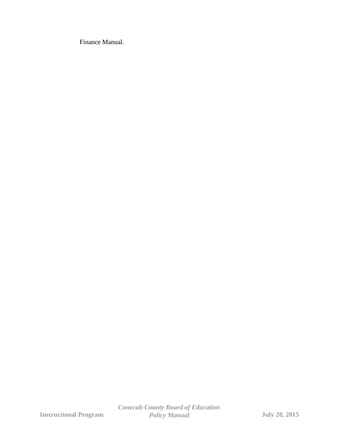Finance Manual.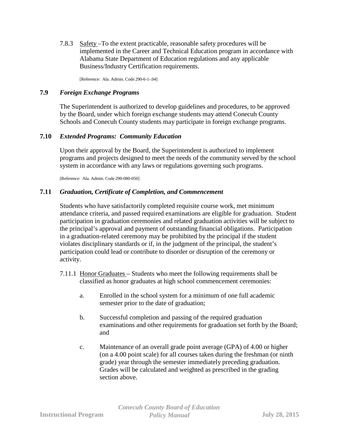7.8.3 Safety –To the extent practicable, reasonable safety procedures will be implemented in the Career and Technical Education program in accordance with Alabama State Department of Education regulations and any applicable Business/Industry Certification requirements.

[Reference: Ala. Admin. Code 290-6-1-.04]

## **7.9** *Foreign Exchange Programs*

The Superintendent is authorized to develop guidelines and procedures, to be approved by the Board, under which foreign exchange students may attend Conecuh County Schools and Conecuh County students may participate in foreign exchange programs.

# **7.10** *Extended Programs: Community Education*

Upon their approval by the Board, the Superintendent is authorized to implement programs and projects designed to meet the needs of the community served by the school system in accordance with any laws or regulations governing such programs.

[Reference: Ala. Admin. Code 290-080-050]

# **7.11** *Graduation, Certificate of Completion, and Commencement*

Students who have satisfactorily completed requisite course work, met minimum attendance criteria, and passed required examinations are eligible for graduation. Student participation in graduation ceremonies and related graduation activities will be subject to the principal's approval and payment of outstanding financial obligations. Participation in a graduation-related ceremony may be prohibited by the principal if the student violates disciplinary standards or if, in the judgment of the principal, the student's participation could lead or contribute to disorder or disruption of the ceremony or activity.

- 7.11.1 Honor Graduates Students who meet the following requirements shall be classified as honor graduates at high school commencement ceremonies:
	- a. Enrolled in the school system for a minimum of one full academic semester prior to the date of graduation;
	- b. Successful completion and passing of the required graduation examinations and other requirements for graduation set forth by the Board; and
	- c. Maintenance of an overall grade point average (GPA) of 4.00 or higher (on a 4.00 point scale) for all courses taken during the freshman (or ninth grade) year through the semester immediately preceding graduation. Grades will be calculated and weighted as prescribed in the grading section above.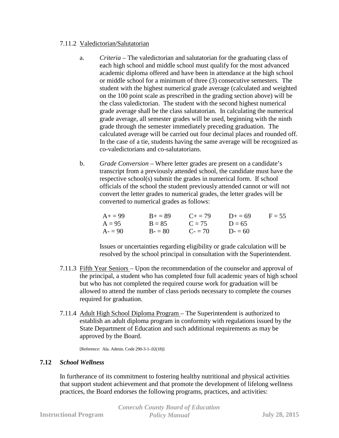## 7.11.2 Valedictorian/Salutatorian

- a. *Criteria* The valedictorian and salutatorian for the graduating class of each high school and middle school must qualify for the most advanced academic diploma offered and have been in attendance at the high school or middle school for a minimum of three (3) consecutive semesters. The student with the highest numerical grade average (calculated and weighted on the 100 point scale as prescribed in the grading section above) will be the class valedictorian. The student with the second highest numerical grade average shall be the class salutatorian. In calculating the numerical grade average, all semester grades will be used, beginning with the ninth grade through the semester immediately preceding graduation. The calculated average will be carried out four decimal places and rounded off. In the case of a tie, students having the same average will be recognized as co-valedictorians and co-salutatorians.
- b. *Grade Conversion* Where letter grades are present on a candidate's transcript from a previously attended school, the candidate must have the respective school(s) submit the grades in numerical form. If school officials of the school the student previously attended cannot or will not convert the letter grades to numerical grades, the letter grades will be converted to numerical grades as follows:

| $A_+ = 99$ | $B_{+} = 89$ | $C_{\pm} = 79$ | $D_{+} = 69$ | $F = 55$ |
|------------|--------------|----------------|--------------|----------|
| $A = 95$   | $B = 85$     | $C = 75$       | $12 = 65$    |          |
| $A = 90$   | $B = 80$     | $C = 70$       | $D = 60$     |          |

Issues or uncertainties regarding eligibility or grade calculation will be resolved by the school principal in consultation with the Superintendent.

- 7.11.3 Fifth Year Seniors Upon the recommendation of the counselor and approval of the principal, a student who has completed four full academic years of high school but who has not completed the required course work for graduation will be allowed to attend the number of class periods necessary to complete the courses required for graduation.
- 7.11.4 Adult High School Diploma Program The Superintendent is authorized to establish an adult diploma program in conformity with regulations issued by the State Department of Education and such additional requirements as may be approved by the Board.

[Reference: Ala. Admin. Code 290-3-1-.02(18)]

## **7.12** *School Wellness*

In furtherance of its commitment to fostering healthy nutritional and physical activities that support student achievement and that promote the development of lifelong wellness practices, the Board endorses the following programs, practices, and activities:

|                              | <b>Conecuh County Board of Education</b> |                      |
|------------------------------|------------------------------------------|----------------------|
| <b>Instructional Program</b> | <b>Policy Manual</b>                     | <b>July 28, 2015</b> |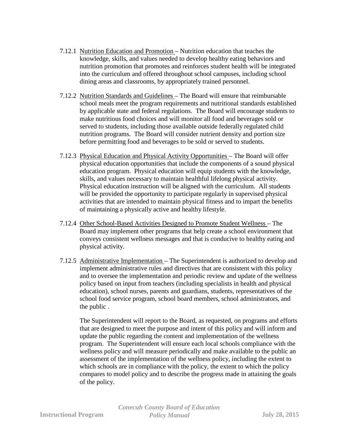- 7.12.1 Nutrition Education and Promotion Nutrition education that teaches the knowledge, skills, and values needed to develop healthy eating behaviors and nutrition promotion that promotes and reinforces student health will be integrated into the curriculum and offered throughout school campuses, including school dining areas and classrooms, by appropriately trained personnel.
- 7.12.2 Nutrition Standards and Guidelines The Board will ensure that reimbursable school meals meet the program requirements and nutritional standards established by applicable state and federal regulations. The Board will encourage students to make nutritious food choices and will monitor all food and beverages sold or served to students, including those available outside federally regulated child nutrition programs. The Board will consider nutrient density and portion size before permitting food and beverages to be sold or served to students.
- 7.12.3 Physical Education and Physical Activity Opportunities The Board will offer physical education opportunities that include the components of a sound physical education program. Physical education will equip students with the knowledge, skills, and values necessary to maintain healthful lifelong physical activity. Physical education instruction will be aligned with the curriculum. All students will be provided the opportunity to participate regularly in supervised physical activities that are intended to maintain physical fitness and to impart the benefits of maintaining a physically active and healthy lifestyle.
- 7.12.4 Other School-Based Activities Designed to Promote Student Wellness The Board may implement other programs that help create a school environment that conveys consistent wellness messages and that is conducive to healthy eating and physical activity.
- 7.12.5 Administrative Implementation The Superintendent is authorized to develop and implement administrative rules and directives that are consistent with this policy and to oversee the implementation and periodic review and update of the wellness policy based on input from teachers (including specialists in health and physical education), school nurses, parents and guardians, students, representatives of the school food service program, school board members, school administrators, and the public .

The Superintendent will report to the Board, as requested, on programs and efforts that are designed to meet the purpose and intent of this policy and will inform and update the public regarding the content and implementation of the wellness program. The Superintendent will ensure each local schools compliance with the wellness policy and will measure periodically and make available to the public an assessment of the implementation of the wellness policy, including the extent to which schools are in compliance with the policy, the extent to which the policy compares to model policy and to describe the progress made in attaining the goals of the policy.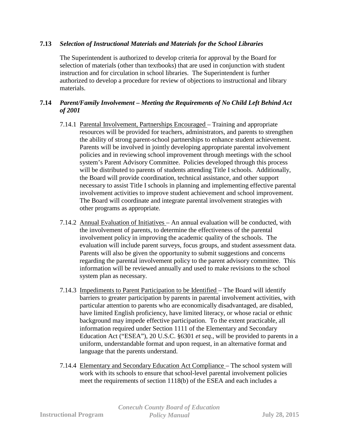# **7.13** *Selection of Instructional Materials and Materials for the School Libraries*

The Superintendent is authorized to develop criteria for approval by the Board for selection of materials (other than textbooks) that are used in conjunction with student instruction and for circulation in school libraries. The Superintendent is further authorized to develop a procedure for review of objections to instructional and library materials.

# **7.14** *Parent/Family Involvement – Meeting the Requirements of No Child Left Behind Act of 2001*

- 7.14.1 Parental Involvement, Partnerships Encouraged Training and appropriate resources will be provided for teachers, administrators, and parents to strengthen the ability of strong parent-school partnerships to enhance student achievement. Parents will be involved in jointly developing appropriate parental involvement policies and in reviewing school improvement through meetings with the school system's Parent Advisory Committee. Policies developed through this process will be distributed to parents of students attending Title I schools. Additionally, the Board will provide coordination, technical assistance, and other support necessary to assist Title I schools in planning and implementing effective parental involvement activities to improve student achievement and school improvement. The Board will coordinate and integrate parental involvement strategies with other programs as appropriate.
- 7.14.2 Annual Evaluation of Initiatives An annual evaluation will be conducted, with the involvement of parents, to determine the effectiveness of the parental involvement policy in improving the academic quality of the schools. The evaluation will include parent surveys, focus groups, and student assessment data. Parents will also be given the opportunity to submit suggestions and concerns regarding the parental involvement policy to the parent advisory committee. This information will be reviewed annually and used to make revisions to the school system plan as necessary.
- 7.14.3 Impediments to Parent Participation to be Identified The Board will identify barriers to greater participation by parents in parental involvement activities, with particular attention to parents who are economically disadvantaged, are disabled, have limited English proficiency, have limited literacy, or whose racial or ethnic background may impede effective participation. To the extent practicable, all information required under Section 1111 of the Elementary and Secondary Education Act ("ESEA"), 20 U.S.C. §6301 *et seq.*, will be provided to parents in a uniform, understandable format and upon request, in an alternative format and language that the parents understand.
- 7.14.4 Elementary and Secondary Education Act Compliance The school system will work with its schools to ensure that school-level parental involvement policies meet the requirements of section 1118(b) of the ESEA and each includes a